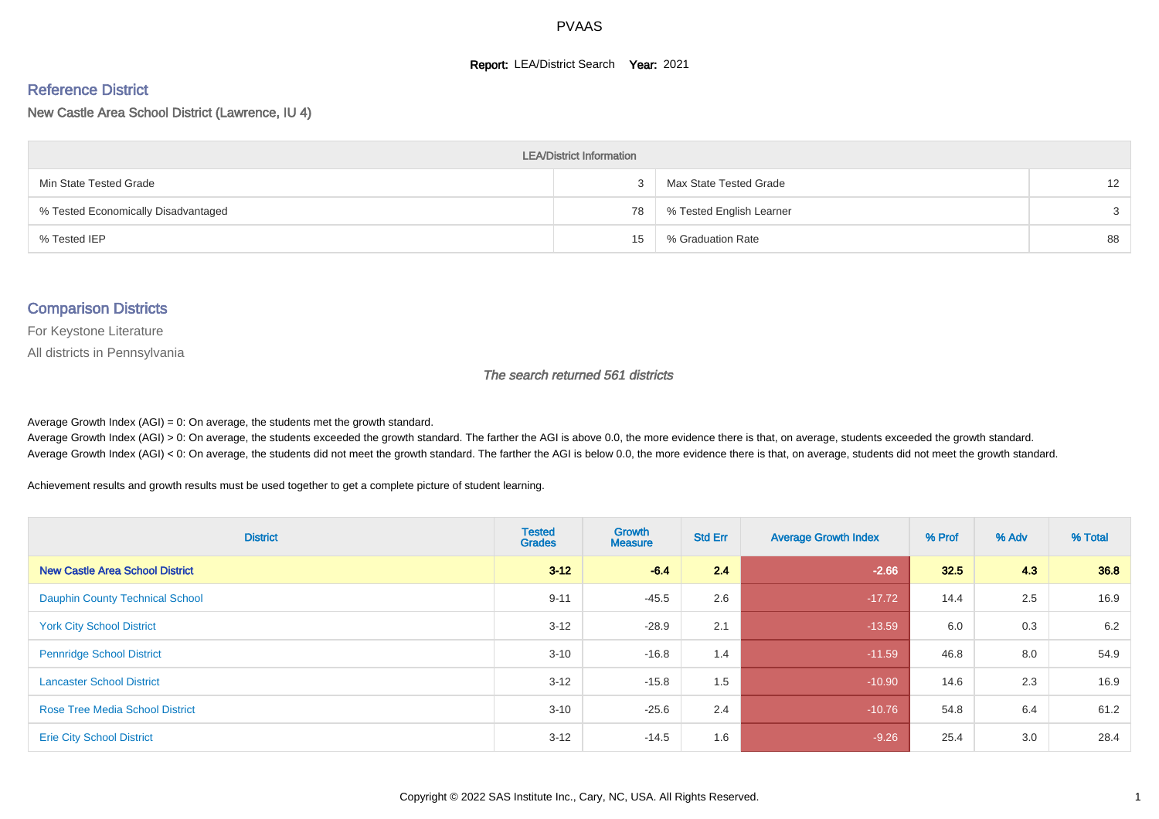#### **Report: LEA/District Search Year: 2021**

#### Reference District

New Castle Area School District (Lawrence, IU 4)

| <b>LEA/District Information</b>     |    |                          |                   |  |  |  |  |  |  |  |
|-------------------------------------|----|--------------------------|-------------------|--|--|--|--|--|--|--|
| Min State Tested Grade              |    | Max State Tested Grade   | $12 \overline{ }$ |  |  |  |  |  |  |  |
| % Tested Economically Disadvantaged | 78 | % Tested English Learner | 3                 |  |  |  |  |  |  |  |
| % Tested IEP                        | 15 | % Graduation Rate        | 88                |  |  |  |  |  |  |  |

#### Comparison Districts

For Keystone Literature

All districts in Pennsylvania

The search returned 561 districts

Average Growth Index  $(AGI) = 0$ : On average, the students met the growth standard.

Average Growth Index (AGI) > 0: On average, the students exceeded the growth standard. The farther the AGI is above 0.0, the more evidence there is that, on average, students exceeded the growth standard. Average Growth Index (AGI) < 0: On average, the students did not meet the growth standard. The farther the AGI is below 0.0, the more evidence there is that, on average, students did not meet the growth standard.

Achievement results and growth results must be used together to get a complete picture of student learning.

| <b>District</b>                        | <b>Tested</b><br><b>Grades</b> | <b>Growth</b><br><b>Measure</b> | <b>Std Err</b> | <b>Average Growth Index</b> | % Prof | % Adv | % Total |
|----------------------------------------|--------------------------------|---------------------------------|----------------|-----------------------------|--------|-------|---------|
| <b>New Castle Area School District</b> | $3 - 12$                       | $-6.4$                          | 2.4            | $-2.66$                     | 32.5   | 4.3   | 36.8    |
| <b>Dauphin County Technical School</b> | $9 - 11$                       | $-45.5$                         | 2.6            | $-17.72$                    | 14.4   | 2.5   | 16.9    |
| <b>York City School District</b>       | $3 - 12$                       | $-28.9$                         | 2.1            | $-13.59$                    | 6.0    | 0.3   | 6.2     |
| <b>Pennridge School District</b>       | $3 - 10$                       | $-16.8$                         | 1.4            | $-11.59$                    | 46.8   | 8.0   | 54.9    |
| <b>Lancaster School District</b>       | $3 - 12$                       | $-15.8$                         | 1.5            | $-10.90$                    | 14.6   | 2.3   | 16.9    |
| <b>Rose Tree Media School District</b> | $3 - 10$                       | $-25.6$                         | 2.4            | $-10.76$                    | 54.8   | 6.4   | 61.2    |
| <b>Erie City School District</b>       | $3-12$                         | $-14.5$                         | 1.6            | $-9.26$                     | 25.4   | 3.0   | 28.4    |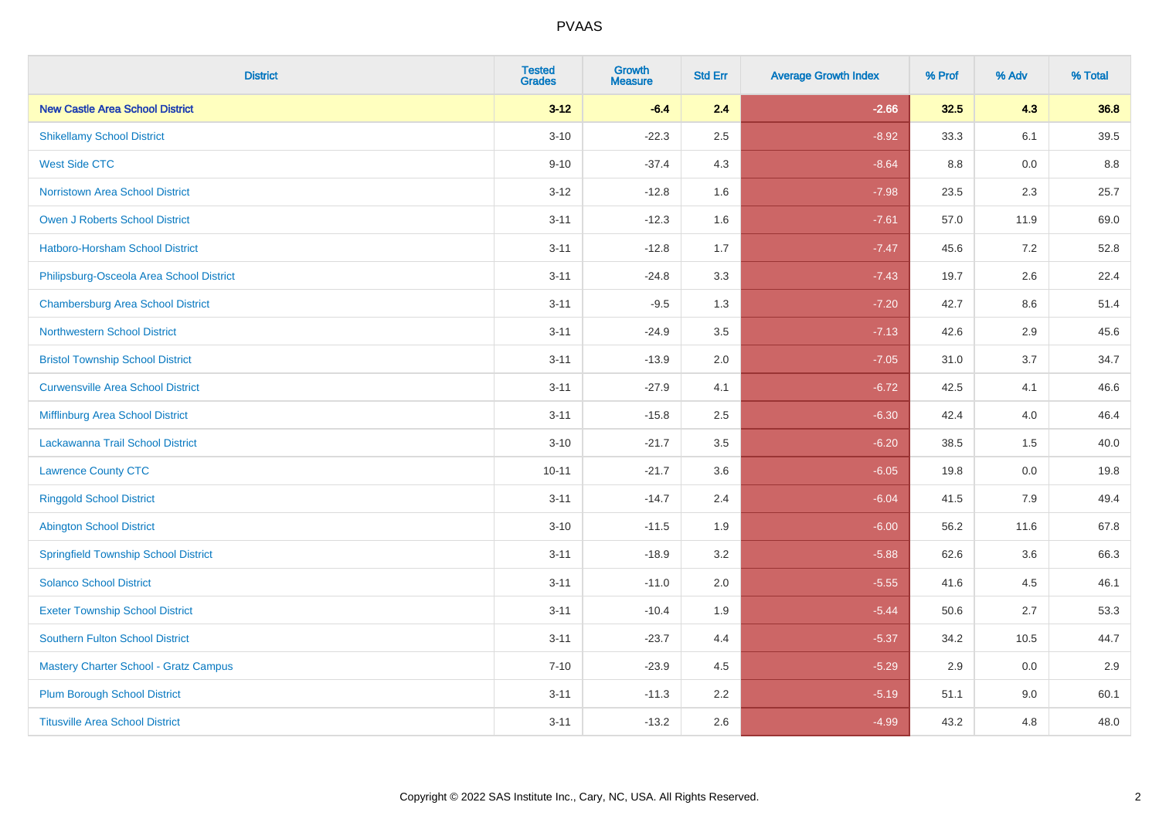| <b>District</b>                              | <b>Tested</b><br><b>Grades</b> | <b>Growth</b><br><b>Measure</b> | <b>Std Err</b> | <b>Average Growth Index</b> | % Prof | % Adv | % Total |
|----------------------------------------------|--------------------------------|---------------------------------|----------------|-----------------------------|--------|-------|---------|
| <b>New Castle Area School District</b>       | $3 - 12$                       | $-6.4$                          | 2.4            | $-2.66$                     | 32.5   | 4.3   | 36.8    |
| <b>Shikellamy School District</b>            | $3 - 10$                       | $-22.3$                         | 2.5            | $-8.92$                     | 33.3   | 6.1   | 39.5    |
| <b>West Side CTC</b>                         | $9 - 10$                       | $-37.4$                         | 4.3            | $-8.64$                     | 8.8    | 0.0   | 8.8     |
| <b>Norristown Area School District</b>       | $3 - 12$                       | $-12.8$                         | 1.6            | $-7.98$                     | 23.5   | 2.3   | 25.7    |
| Owen J Roberts School District               | $3 - 11$                       | $-12.3$                         | 1.6            | $-7.61$                     | 57.0   | 11.9  | 69.0    |
| <b>Hatboro-Horsham School District</b>       | $3 - 11$                       | $-12.8$                         | 1.7            | $-7.47$                     | 45.6   | 7.2   | 52.8    |
| Philipsburg-Osceola Area School District     | $3 - 11$                       | $-24.8$                         | 3.3            | $-7.43$                     | 19.7   | 2.6   | 22.4    |
| <b>Chambersburg Area School District</b>     | $3 - 11$                       | $-9.5$                          | 1.3            | $-7.20$                     | 42.7   | 8.6   | 51.4    |
| <b>Northwestern School District</b>          | $3 - 11$                       | $-24.9$                         | 3.5            | $-7.13$                     | 42.6   | 2.9   | 45.6    |
| <b>Bristol Township School District</b>      | $3 - 11$                       | $-13.9$                         | 2.0            | $-7.05$                     | 31.0   | 3.7   | 34.7    |
| <b>Curwensville Area School District</b>     | $3 - 11$                       | $-27.9$                         | 4.1            | $-6.72$                     | 42.5   | 4.1   | 46.6    |
| Mifflinburg Area School District             | $3 - 11$                       | $-15.8$                         | 2.5            | $-6.30$                     | 42.4   | 4.0   | 46.4    |
| Lackawanna Trail School District             | $3 - 10$                       | $-21.7$                         | 3.5            | $-6.20$                     | 38.5   | 1.5   | 40.0    |
| <b>Lawrence County CTC</b>                   | $10 - 11$                      | $-21.7$                         | 3.6            | $-6.05$                     | 19.8   | 0.0   | 19.8    |
| <b>Ringgold School District</b>              | $3 - 11$                       | $-14.7$                         | 2.4            | $-6.04$                     | 41.5   | 7.9   | 49.4    |
| <b>Abington School District</b>              | $3 - 10$                       | $-11.5$                         | 1.9            | $-6.00$                     | 56.2   | 11.6  | 67.8    |
| <b>Springfield Township School District</b>  | $3 - 11$                       | $-18.9$                         | 3.2            | $-5.88$                     | 62.6   | 3.6   | 66.3    |
| <b>Solanco School District</b>               | $3 - 11$                       | $-11.0$                         | 2.0            | $-5.55$                     | 41.6   | 4.5   | 46.1    |
| <b>Exeter Township School District</b>       | $3 - 11$                       | $-10.4$                         | 1.9            | $-5.44$                     | 50.6   | 2.7   | 53.3    |
| <b>Southern Fulton School District</b>       | $3 - 11$                       | $-23.7$                         | 4.4            | $-5.37$                     | 34.2   | 10.5  | 44.7    |
| <b>Mastery Charter School - Gratz Campus</b> | $7 - 10$                       | $-23.9$                         | 4.5            | $-5.29$                     | 2.9    | 0.0   | 2.9     |
| <b>Plum Borough School District</b>          | $3 - 11$                       | $-11.3$                         | 2.2            | $-5.19$                     | 51.1   | 9.0   | 60.1    |
| <b>Titusville Area School District</b>       | $3 - 11$                       | $-13.2$                         | 2.6            | $-4.99$                     | 43.2   | 4.8   | 48.0    |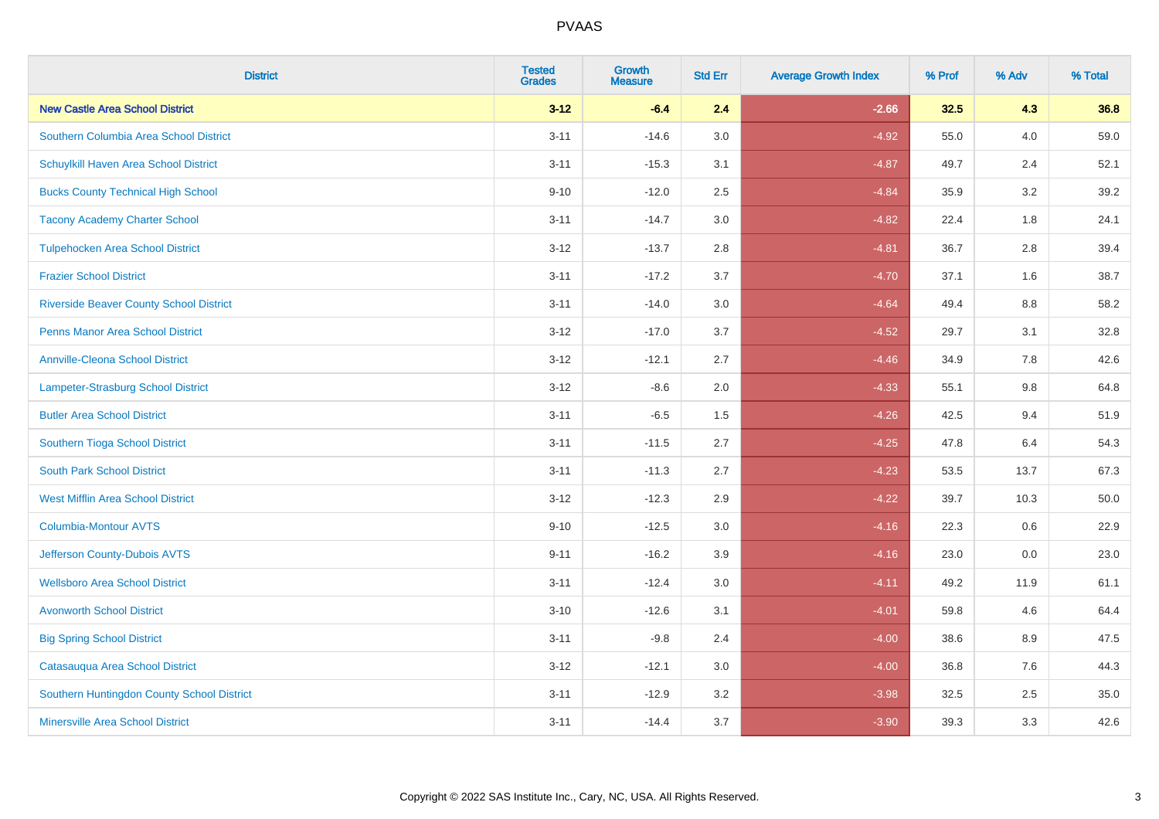| <b>District</b>                                | <b>Tested</b><br><b>Grades</b> | <b>Growth</b><br><b>Measure</b> | <b>Std Err</b> | <b>Average Growth Index</b> | % Prof | % Adv | % Total |
|------------------------------------------------|--------------------------------|---------------------------------|----------------|-----------------------------|--------|-------|---------|
| <b>New Castle Area School District</b>         | $3 - 12$                       | $-6.4$                          | 2.4            | $-2.66$                     | 32.5   | 4.3   | 36.8    |
| Southern Columbia Area School District         | $3 - 11$                       | $-14.6$                         | 3.0            | $-4.92$                     | 55.0   | 4.0   | 59.0    |
| Schuylkill Haven Area School District          | $3 - 11$                       | $-15.3$                         | 3.1            | $-4.87$                     | 49.7   | 2.4   | 52.1    |
| <b>Bucks County Technical High School</b>      | $9 - 10$                       | $-12.0$                         | 2.5            | $-4.84$                     | 35.9   | 3.2   | 39.2    |
| <b>Tacony Academy Charter School</b>           | $3 - 11$                       | $-14.7$                         | 3.0            | $-4.82$                     | 22.4   | 1.8   | 24.1    |
| <b>Tulpehocken Area School District</b>        | $3 - 12$                       | $-13.7$                         | 2.8            | $-4.81$                     | 36.7   | 2.8   | 39.4    |
| <b>Frazier School District</b>                 | $3 - 11$                       | $-17.2$                         | 3.7            | $-4.70$                     | 37.1   | 1.6   | 38.7    |
| <b>Riverside Beaver County School District</b> | $3 - 11$                       | $-14.0$                         | 3.0            | $-4.64$                     | 49.4   | 8.8   | 58.2    |
| <b>Penns Manor Area School District</b>        | $3 - 12$                       | $-17.0$                         | 3.7            | $-4.52$                     | 29.7   | 3.1   | 32.8    |
| <b>Annville-Cleona School District</b>         | $3 - 12$                       | $-12.1$                         | 2.7            | $-4.46$                     | 34.9   | 7.8   | 42.6    |
| Lampeter-Strasburg School District             | $3 - 12$                       | $-8.6$                          | 2.0            | $-4.33$                     | 55.1   | 9.8   | 64.8    |
| <b>Butler Area School District</b>             | $3 - 11$                       | $-6.5$                          | 1.5            | $-4.26$                     | 42.5   | 9.4   | 51.9    |
| Southern Tioga School District                 | $3 - 11$                       | $-11.5$                         | 2.7            | $-4.25$                     | 47.8   | 6.4   | 54.3    |
| <b>South Park School District</b>              | $3 - 11$                       | $-11.3$                         | 2.7            | $-4.23$                     | 53.5   | 13.7  | 67.3    |
| <b>West Mifflin Area School District</b>       | $3 - 12$                       | $-12.3$                         | 2.9            | $-4.22$                     | 39.7   | 10.3  | 50.0    |
| <b>Columbia-Montour AVTS</b>                   | $9 - 10$                       | $-12.5$                         | 3.0            | $-4.16$                     | 22.3   | 0.6   | 22.9    |
| Jefferson County-Dubois AVTS                   | $9 - 11$                       | $-16.2$                         | 3.9            | $-4.16$                     | 23.0   | 0.0   | 23.0    |
| <b>Wellsboro Area School District</b>          | $3 - 11$                       | $-12.4$                         | 3.0            | $-4.11$                     | 49.2   | 11.9  | 61.1    |
| <b>Avonworth School District</b>               | $3 - 10$                       | $-12.6$                         | 3.1            | $-4.01$                     | 59.8   | 4.6   | 64.4    |
| <b>Big Spring School District</b>              | $3 - 11$                       | $-9.8$                          | 2.4            | $-4.00$                     | 38.6   | 8.9   | 47.5    |
| Catasauqua Area School District                | $3 - 12$                       | $-12.1$                         | 3.0            | $-4.00$                     | 36.8   | 7.6   | 44.3    |
| Southern Huntingdon County School District     | $3 - 11$                       | $-12.9$                         | 3.2            | $-3.98$                     | 32.5   | 2.5   | 35.0    |
| <b>Minersville Area School District</b>        | $3 - 11$                       | $-14.4$                         | 3.7            | $-3.90$                     | 39.3   | 3.3   | 42.6    |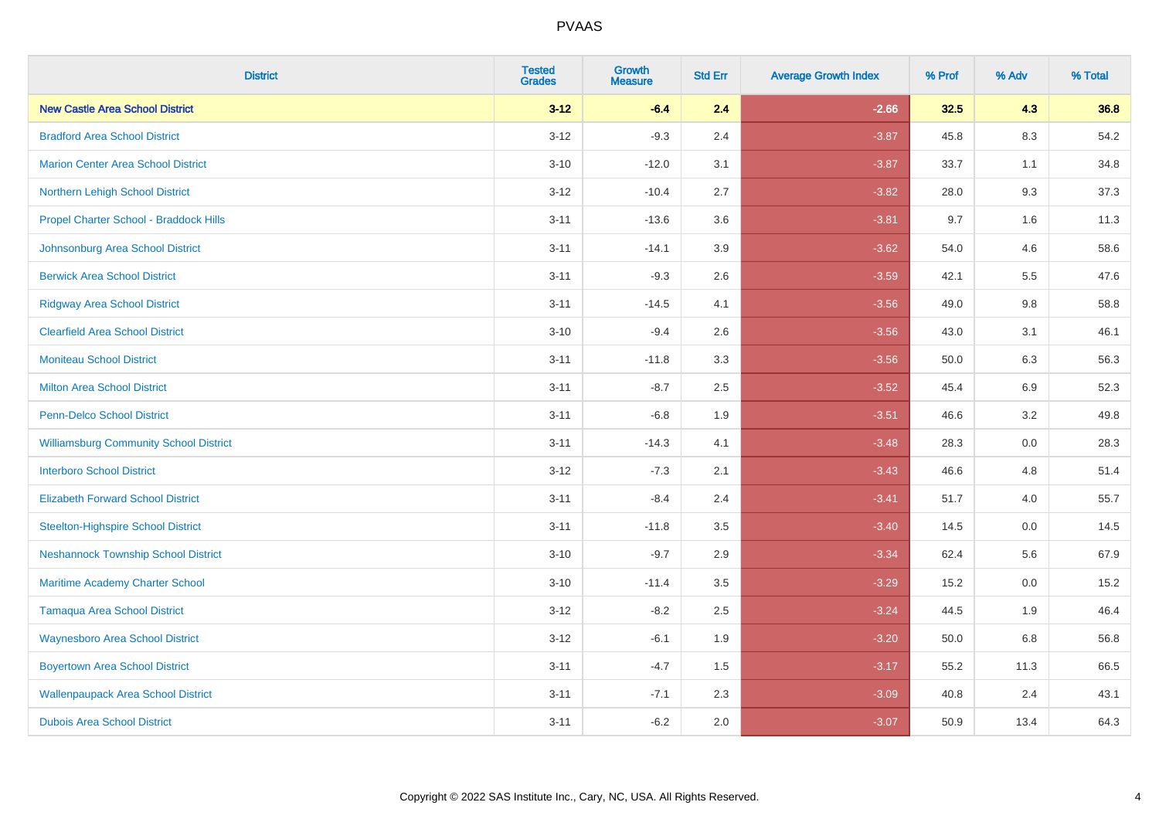| <b>District</b>                               | <b>Tested</b><br><b>Grades</b> | <b>Growth</b><br><b>Measure</b> | <b>Std Err</b> | <b>Average Growth Index</b> | % Prof | % Adv   | % Total |
|-----------------------------------------------|--------------------------------|---------------------------------|----------------|-----------------------------|--------|---------|---------|
| <b>New Castle Area School District</b>        | $3 - 12$                       | $-6.4$                          | 2.4            | $-2.66$                     | 32.5   | 4.3     | 36.8    |
| <b>Bradford Area School District</b>          | $3 - 12$                       | $-9.3$                          | 2.4            | $-3.87$                     | 45.8   | $8.3\,$ | 54.2    |
| <b>Marion Center Area School District</b>     | $3 - 10$                       | $-12.0$                         | 3.1            | $-3.87$                     | 33.7   | 1.1     | 34.8    |
| Northern Lehigh School District               | $3 - 12$                       | $-10.4$                         | 2.7            | $-3.82$                     | 28.0   | 9.3     | 37.3    |
| Propel Charter School - Braddock Hills        | $3 - 11$                       | $-13.6$                         | 3.6            | $-3.81$                     | 9.7    | 1.6     | 11.3    |
| Johnsonburg Area School District              | $3 - 11$                       | $-14.1$                         | 3.9            | $-3.62$                     | 54.0   | 4.6     | 58.6    |
| <b>Berwick Area School District</b>           | $3 - 11$                       | $-9.3$                          | 2.6            | $-3.59$                     | 42.1   | 5.5     | 47.6    |
| <b>Ridgway Area School District</b>           | $3 - 11$                       | $-14.5$                         | 4.1            | $-3.56$                     | 49.0   | 9.8     | 58.8    |
| <b>Clearfield Area School District</b>        | $3 - 10$                       | $-9.4$                          | 2.6            | $-3.56$                     | 43.0   | 3.1     | 46.1    |
| <b>Moniteau School District</b>               | $3 - 11$                       | $-11.8$                         | 3.3            | $-3.56$                     | 50.0   | 6.3     | 56.3    |
| <b>Milton Area School District</b>            | $3 - 11$                       | $-8.7$                          | 2.5            | $-3.52$                     | 45.4   | 6.9     | 52.3    |
| <b>Penn-Delco School District</b>             | $3 - 11$                       | $-6.8$                          | 1.9            | $-3.51$                     | 46.6   | 3.2     | 49.8    |
| <b>Williamsburg Community School District</b> | $3 - 11$                       | $-14.3$                         | 4.1            | $-3.48$                     | 28.3   | $0.0\,$ | 28.3    |
| <b>Interboro School District</b>              | $3 - 12$                       | $-7.3$                          | 2.1            | $-3.43$                     | 46.6   | 4.8     | 51.4    |
| <b>Elizabeth Forward School District</b>      | $3 - 11$                       | $-8.4$                          | 2.4            | $-3.41$                     | 51.7   | 4.0     | 55.7    |
| <b>Steelton-Highspire School District</b>     | $3 - 11$                       | $-11.8$                         | 3.5            | $-3.40$                     | 14.5   | $0.0\,$ | 14.5    |
| <b>Neshannock Township School District</b>    | $3 - 10$                       | $-9.7$                          | 2.9            | $-3.34$                     | 62.4   | 5.6     | 67.9    |
| Maritime Academy Charter School               | $3 - 10$                       | $-11.4$                         | 3.5            | $-3.29$                     | 15.2   | 0.0     | 15.2    |
| <b>Tamaqua Area School District</b>           | $3 - 12$                       | $-8.2$                          | 2.5            | $-3.24$                     | 44.5   | 1.9     | 46.4    |
| <b>Waynesboro Area School District</b>        | $3 - 12$                       | $-6.1$                          | 1.9            | $-3.20$                     | 50.0   | 6.8     | 56.8    |
| <b>Boyertown Area School District</b>         | $3 - 11$                       | $-4.7$                          | 1.5            | $-3.17$                     | 55.2   | 11.3    | 66.5    |
| <b>Wallenpaupack Area School District</b>     | $3 - 11$                       | $-7.1$                          | 2.3            | $-3.09$                     | 40.8   | 2.4     | 43.1    |
| <b>Dubois Area School District</b>            | $3 - 11$                       | $-6.2$                          | 2.0            | $-3.07$                     | 50.9   | 13.4    | 64.3    |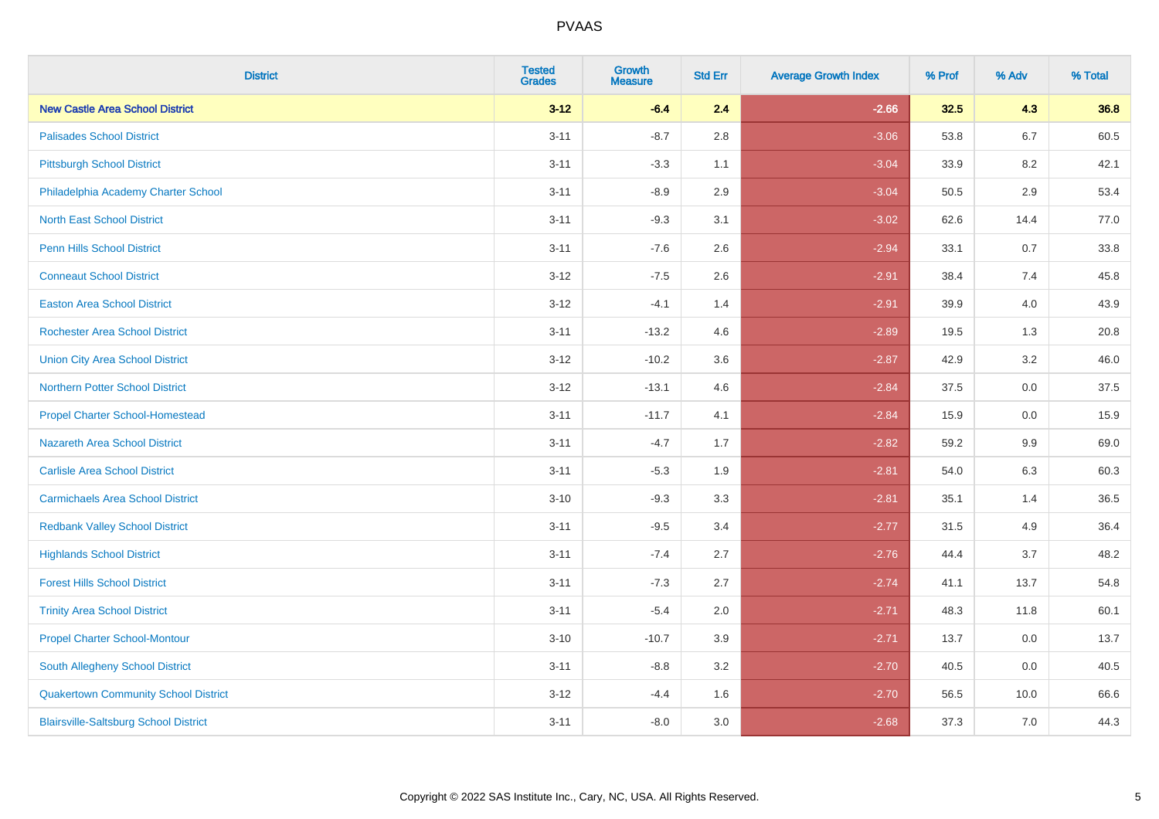| <b>District</b>                              | <b>Tested</b><br><b>Grades</b> | <b>Growth</b><br><b>Measure</b> | <b>Std Err</b> | <b>Average Growth Index</b> | % Prof | % Adv   | % Total |
|----------------------------------------------|--------------------------------|---------------------------------|----------------|-----------------------------|--------|---------|---------|
| <b>New Castle Area School District</b>       | $3 - 12$                       | $-6.4$                          | 2.4            | $-2.66$                     | 32.5   | 4.3     | 36.8    |
| <b>Palisades School District</b>             | $3 - 11$                       | $-8.7$                          | 2.8            | $-3.06$                     | 53.8   | 6.7     | 60.5    |
| <b>Pittsburgh School District</b>            | $3 - 11$                       | $-3.3$                          | 1.1            | $-3.04$                     | 33.9   | 8.2     | 42.1    |
| Philadelphia Academy Charter School          | $3 - 11$                       | $-8.9$                          | 2.9            | $-3.04$                     | 50.5   | $2.9\,$ | 53.4    |
| <b>North East School District</b>            | $3 - 11$                       | $-9.3$                          | 3.1            | $-3.02$                     | 62.6   | 14.4    | 77.0    |
| <b>Penn Hills School District</b>            | $3 - 11$                       | $-7.6$                          | 2.6            | $-2.94$                     | 33.1   | 0.7     | 33.8    |
| <b>Conneaut School District</b>              | $3 - 12$                       | $-7.5$                          | 2.6            | $-2.91$                     | 38.4   | 7.4     | 45.8    |
| <b>Easton Area School District</b>           | $3 - 12$                       | $-4.1$                          | 1.4            | $-2.91$                     | 39.9   | 4.0     | 43.9    |
| <b>Rochester Area School District</b>        | $3 - 11$                       | $-13.2$                         | 4.6            | $-2.89$                     | 19.5   | 1.3     | 20.8    |
| <b>Union City Area School District</b>       | $3 - 12$                       | $-10.2$                         | 3.6            | $-2.87$                     | 42.9   | $3.2\,$ | 46.0    |
| <b>Northern Potter School District</b>       | $3 - 12$                       | $-13.1$                         | 4.6            | $-2.84$                     | 37.5   | 0.0     | 37.5    |
| <b>Propel Charter School-Homestead</b>       | $3 - 11$                       | $-11.7$                         | 4.1            | $-2.84$                     | 15.9   | 0.0     | 15.9    |
| Nazareth Area School District                | $3 - 11$                       | $-4.7$                          | 1.7            | $-2.82$                     | 59.2   | 9.9     | 69.0    |
| <b>Carlisle Area School District</b>         | $3 - 11$                       | $-5.3$                          | 1.9            | $-2.81$                     | 54.0   | 6.3     | 60.3    |
| <b>Carmichaels Area School District</b>      | $3 - 10$                       | $-9.3$                          | 3.3            | $-2.81$                     | 35.1   | 1.4     | 36.5    |
| <b>Redbank Valley School District</b>        | $3 - 11$                       | $-9.5$                          | 3.4            | $-2.77$                     | 31.5   | 4.9     | 36.4    |
| <b>Highlands School District</b>             | $3 - 11$                       | $-7.4$                          | 2.7            | $-2.76$                     | 44.4   | 3.7     | 48.2    |
| <b>Forest Hills School District</b>          | $3 - 11$                       | $-7.3$                          | 2.7            | $-2.74$                     | 41.1   | 13.7    | 54.8    |
| <b>Trinity Area School District</b>          | $3 - 11$                       | $-5.4$                          | 2.0            | $-2.71$                     | 48.3   | 11.8    | 60.1    |
| <b>Propel Charter School-Montour</b>         | $3 - 10$                       | $-10.7$                         | 3.9            | $-2.71$                     | 13.7   | 0.0     | 13.7    |
| South Allegheny School District              | $3 - 11$                       | $-8.8$                          | 3.2            | $-2.70$                     | 40.5   | 0.0     | 40.5    |
| <b>Quakertown Community School District</b>  | $3 - 12$                       | $-4.4$                          | 1.6            | $-2.70$                     | 56.5   | 10.0    | 66.6    |
| <b>Blairsville-Saltsburg School District</b> | $3 - 11$                       | $-8.0$                          | 3.0            | $-2.68$                     | 37.3   | 7.0     | 44.3    |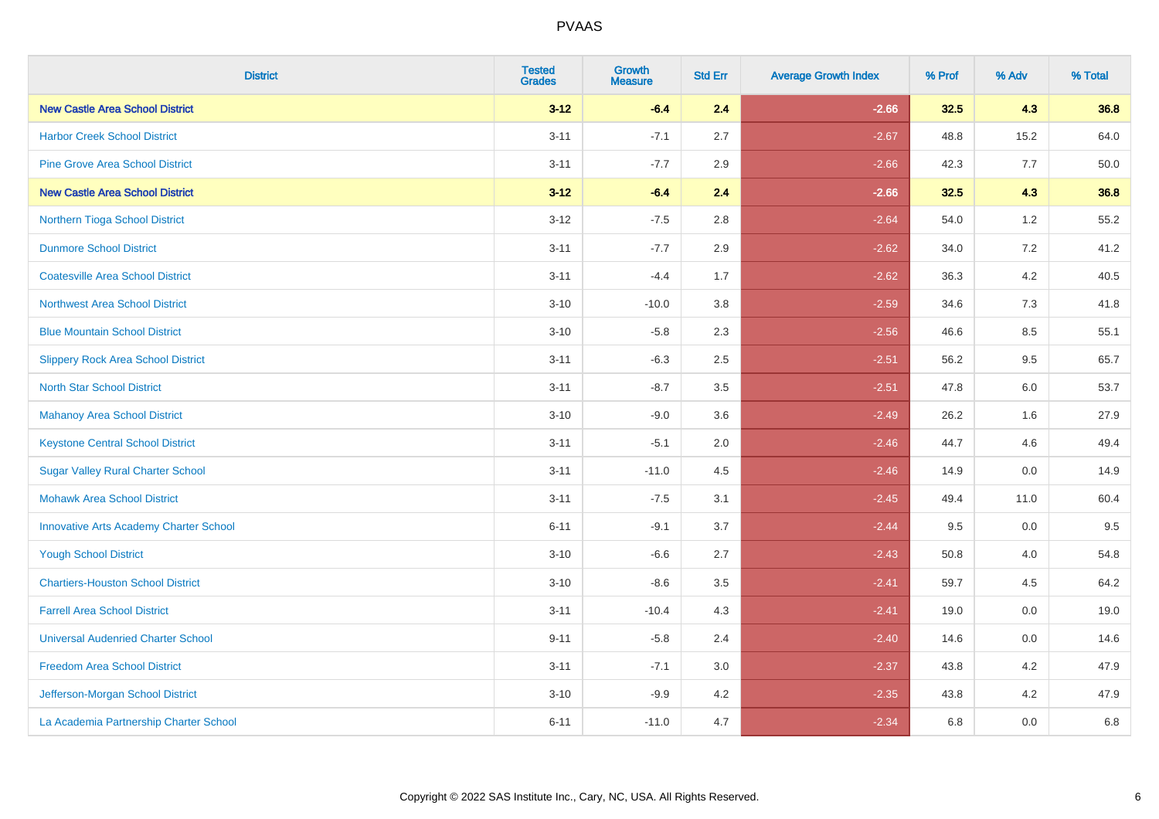| <b>District</b>                               | <b>Tested</b><br><b>Grades</b> | Growth<br><b>Measure</b> | <b>Std Err</b> | <b>Average Growth Index</b> | % Prof | % Adv | % Total |
|-----------------------------------------------|--------------------------------|--------------------------|----------------|-----------------------------|--------|-------|---------|
| <b>New Castle Area School District</b>        | $3 - 12$                       | $-6.4$                   | 2.4            | $-2.66$                     | 32.5   | 4.3   | 36.8    |
| <b>Harbor Creek School District</b>           | $3 - 11$                       | $-7.1$                   | 2.7            | $-2.67$                     | 48.8   | 15.2  | 64.0    |
| <b>Pine Grove Area School District</b>        | $3 - 11$                       | $-7.7$                   | 2.9            | $-2.66$                     | 42.3   | 7.7   | 50.0    |
| <b>New Castle Area School District</b>        | $3 - 12$                       | $-6.4$                   | 2.4            | $-2.66$                     | 32.5   | 4.3   | 36.8    |
| Northern Tioga School District                | $3 - 12$                       | $-7.5$                   | 2.8            | $-2.64$                     | 54.0   | 1.2   | 55.2    |
| <b>Dunmore School District</b>                | $3 - 11$                       | $-7.7$                   | 2.9            | $-2.62$                     | 34.0   | 7.2   | 41.2    |
| <b>Coatesville Area School District</b>       | $3 - 11$                       | $-4.4$                   | 1.7            | $-2.62$                     | 36.3   | 4.2   | 40.5    |
| <b>Northwest Area School District</b>         | $3 - 10$                       | $-10.0$                  | 3.8            | $-2.59$                     | 34.6   | 7.3   | 41.8    |
| <b>Blue Mountain School District</b>          | $3 - 10$                       | $-5.8$                   | 2.3            | $-2.56$                     | 46.6   | 8.5   | 55.1    |
| <b>Slippery Rock Area School District</b>     | $3 - 11$                       | $-6.3$                   | $2.5\,$        | $-2.51$                     | 56.2   | 9.5   | 65.7    |
| <b>North Star School District</b>             | $3 - 11$                       | $-8.7$                   | 3.5            | $-2.51$                     | 47.8   | 6.0   | 53.7    |
| <b>Mahanoy Area School District</b>           | $3 - 10$                       | $-9.0$                   | 3.6            | $-2.49$                     | 26.2   | 1.6   | 27.9    |
| <b>Keystone Central School District</b>       | $3 - 11$                       | $-5.1$                   | 2.0            | $-2.46$                     | 44.7   | 4.6   | 49.4    |
| <b>Sugar Valley Rural Charter School</b>      | $3 - 11$                       | $-11.0$                  | 4.5            | $-2.46$                     | 14.9   | 0.0   | 14.9    |
| <b>Mohawk Area School District</b>            | $3 - 11$                       | $-7.5$                   | 3.1            | $-2.45$                     | 49.4   | 11.0  | 60.4    |
| <b>Innovative Arts Academy Charter School</b> | $6 - 11$                       | $-9.1$                   | 3.7            | $-2.44$                     | 9.5    | 0.0   | 9.5     |
| <b>Yough School District</b>                  | $3 - 10$                       | $-6.6$                   | 2.7            | $-2.43$                     | 50.8   | 4.0   | 54.8    |
| <b>Chartiers-Houston School District</b>      | $3 - 10$                       | $-8.6$                   | 3.5            | $-2.41$                     | 59.7   | 4.5   | 64.2    |
| <b>Farrell Area School District</b>           | $3 - 11$                       | $-10.4$                  | 4.3            | $-2.41$                     | 19.0   | 0.0   | 19.0    |
| <b>Universal Audenried Charter School</b>     | $9 - 11$                       | $-5.8$                   | 2.4            | $-2.40$                     | 14.6   | 0.0   | 14.6    |
| <b>Freedom Area School District</b>           | $3 - 11$                       | $-7.1$                   | 3.0            | $-2.37$                     | 43.8   | 4.2   | 47.9    |
| Jefferson-Morgan School District              | $3 - 10$                       | $-9.9$                   | 4.2            | $-2.35$                     | 43.8   | 4.2   | 47.9    |
| La Academia Partnership Charter School        | $6 - 11$                       | $-11.0$                  | 4.7            | $-2.34$                     | 6.8    | 0.0   | 6.8     |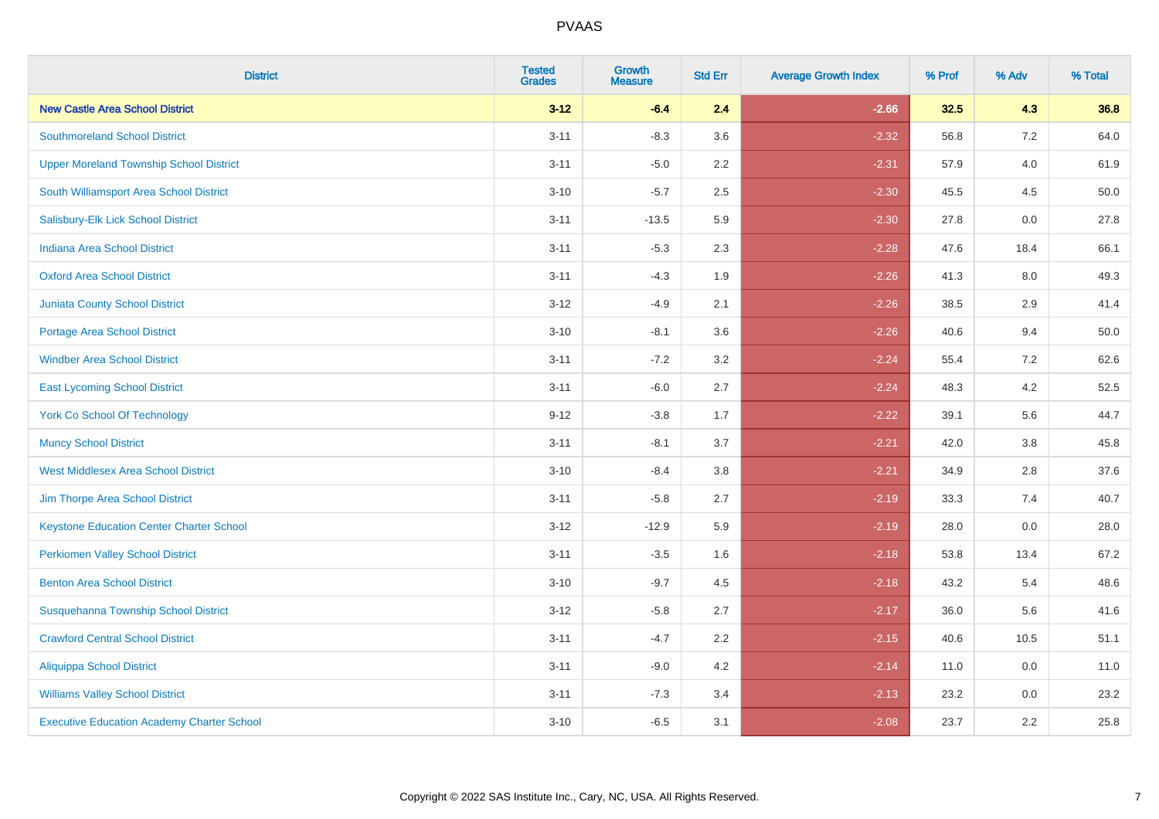| <b>District</b>                                   | <b>Tested</b><br><b>Grades</b> | <b>Growth</b><br><b>Measure</b> | <b>Std Err</b> | <b>Average Growth Index</b> | % Prof | % Adv   | % Total |
|---------------------------------------------------|--------------------------------|---------------------------------|----------------|-----------------------------|--------|---------|---------|
| <b>New Castle Area School District</b>            | $3 - 12$                       | $-6.4$                          | 2.4            | $-2.66$                     | 32.5   | 4.3     | 36.8    |
| <b>Southmoreland School District</b>              | $3 - 11$                       | $-8.3$                          | 3.6            | $-2.32$                     | 56.8   | 7.2     | 64.0    |
| <b>Upper Moreland Township School District</b>    | $3 - 11$                       | $-5.0$                          | 2.2            | $-2.31$                     | 57.9   | 4.0     | 61.9    |
| South Williamsport Area School District           | $3 - 10$                       | $-5.7$                          | 2.5            | $-2.30$                     | 45.5   | 4.5     | 50.0    |
| Salisbury-Elk Lick School District                | $3 - 11$                       | $-13.5$                         | 5.9            | $-2.30$                     | 27.8   | 0.0     | 27.8    |
| <b>Indiana Area School District</b>               | $3 - 11$                       | $-5.3$                          | 2.3            | $-2.28$                     | 47.6   | 18.4    | 66.1    |
| <b>Oxford Area School District</b>                | $3 - 11$                       | $-4.3$                          | 1.9            | $-2.26$                     | 41.3   | $8.0\,$ | 49.3    |
| <b>Juniata County School District</b>             | $3 - 12$                       | $-4.9$                          | 2.1            | $-2.26$                     | 38.5   | 2.9     | 41.4    |
| Portage Area School District                      | $3 - 10$                       | $-8.1$                          | 3.6            | $-2.26$                     | 40.6   | 9.4     | 50.0    |
| <b>Windber Area School District</b>               | $3 - 11$                       | $-7.2$                          | 3.2            | $-2.24$                     | 55.4   | 7.2     | 62.6    |
| <b>East Lycoming School District</b>              | $3 - 11$                       | $-6.0$                          | 2.7            | $-2.24$                     | 48.3   | 4.2     | 52.5    |
| <b>York Co School Of Technology</b>               | $9 - 12$                       | $-3.8$                          | 1.7            | $-2.22$                     | 39.1   | 5.6     | 44.7    |
| <b>Muncy School District</b>                      | $3 - 11$                       | $-8.1$                          | 3.7            | $-2.21$                     | 42.0   | 3.8     | 45.8    |
| <b>West Middlesex Area School District</b>        | $3 - 10$                       | $-8.4$                          | 3.8            | $-2.21$                     | 34.9   | 2.8     | 37.6    |
| Jim Thorpe Area School District                   | $3 - 11$                       | $-5.8$                          | 2.7            | $-2.19$                     | 33.3   | 7.4     | 40.7    |
| <b>Keystone Education Center Charter School</b>   | $3 - 12$                       | $-12.9$                         | 5.9            | $-2.19$                     | 28.0   | 0.0     | 28.0    |
| <b>Perkiomen Valley School District</b>           | $3 - 11$                       | $-3.5$                          | 1.6            | $-2.18$                     | 53.8   | 13.4    | 67.2    |
| <b>Benton Area School District</b>                | $3 - 10$                       | $-9.7$                          | 4.5            | $-2.18$                     | 43.2   | 5.4     | 48.6    |
| Susquehanna Township School District              | $3 - 12$                       | $-5.8$                          | 2.7            | $-2.17$                     | 36.0   | 5.6     | 41.6    |
| <b>Crawford Central School District</b>           | $3 - 11$                       | $-4.7$                          | 2.2            | $-2.15$                     | 40.6   | 10.5    | 51.1    |
| <b>Aliquippa School District</b>                  | $3 - 11$                       | $-9.0$                          | 4.2            | $-2.14$                     | 11.0   | 0.0     | 11.0    |
| <b>Williams Valley School District</b>            | $3 - 11$                       | $-7.3$                          | 3.4            | $-2.13$                     | 23.2   | 0.0     | 23.2    |
| <b>Executive Education Academy Charter School</b> | $3 - 10$                       | $-6.5$                          | 3.1            | $-2.08$                     | 23.7   | 2.2     | 25.8    |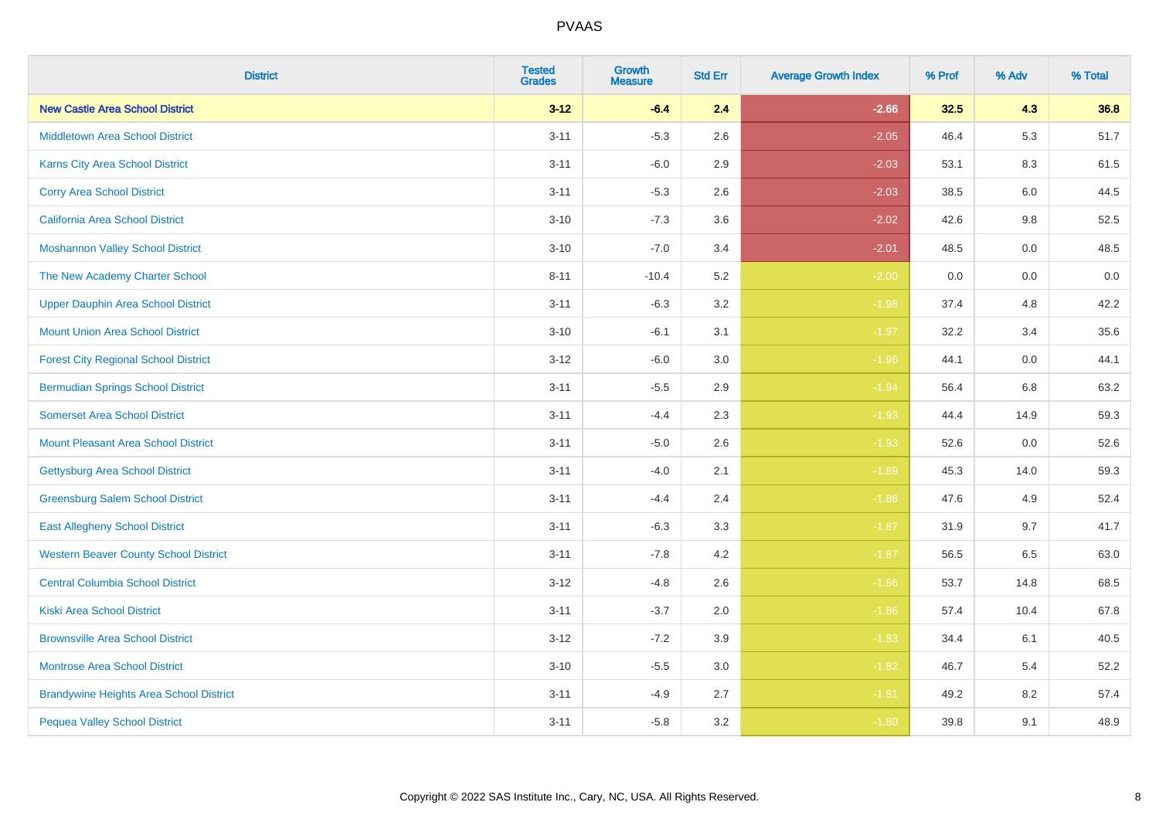| <b>District</b>                                | <b>Tested</b><br><b>Grades</b> | <b>Growth</b><br><b>Measure</b> | <b>Std Err</b> | <b>Average Growth Index</b> | % Prof | % Adv   | % Total |
|------------------------------------------------|--------------------------------|---------------------------------|----------------|-----------------------------|--------|---------|---------|
| <b>New Castle Area School District</b>         | $3 - 12$                       | $-6.4$                          | 2.4            | $-2.66$                     | 32.5   | 4.3     | 36.8    |
| <b>Middletown Area School District</b>         | $3 - 11$                       | $-5.3$                          | 2.6            | $-2.05$                     | 46.4   | $5.3\,$ | 51.7    |
| Karns City Area School District                | $3 - 11$                       | $-6.0$                          | 2.9            | $-2.03$                     | 53.1   | 8.3     | 61.5    |
| <b>Corry Area School District</b>              | $3 - 11$                       | $-5.3$                          | 2.6            | $-2.03$                     | 38.5   | 6.0     | 44.5    |
| California Area School District                | $3 - 10$                       | $-7.3$                          | 3.6            | $-2.02$                     | 42.6   | 9.8     | 52.5    |
| <b>Moshannon Valley School District</b>        | $3 - 10$                       | $-7.0$                          | 3.4            | $-2.01$                     | 48.5   | 0.0     | 48.5    |
| The New Academy Charter School                 | $8 - 11$                       | $-10.4$                         | 5.2            | $-2.00$                     | 0.0    | 0.0     | 0.0     |
| <b>Upper Dauphin Area School District</b>      | $3 - 11$                       | $-6.3$                          | 3.2            | $-1.98$                     | 37.4   | 4.8     | 42.2    |
| <b>Mount Union Area School District</b>        | $3 - 10$                       | $-6.1$                          | 3.1            | $-1.97$                     | 32.2   | 3.4     | 35.6    |
| <b>Forest City Regional School District</b>    | $3 - 12$                       | $-6.0$                          | 3.0            | $-1.96$                     | 44.1   | 0.0     | 44.1    |
| <b>Bermudian Springs School District</b>       | $3 - 11$                       | $-5.5$                          | 2.9            | $-1.94$                     | 56.4   | 6.8     | 63.2    |
| <b>Somerset Area School District</b>           | $3 - 11$                       | $-4.4$                          | 2.3            | $-1.93$                     | 44.4   | 14.9    | 59.3    |
| Mount Pleasant Area School District            | $3 - 11$                       | $-5.0$                          | 2.6            | $-1.93$                     | 52.6   | 0.0     | 52.6    |
| <b>Gettysburg Area School District</b>         | $3 - 11$                       | $-4.0$                          | 2.1            | $-1.89$                     | 45.3   | 14.0    | 59.3    |
| <b>Greensburg Salem School District</b>        | $3 - 11$                       | $-4.4$                          | 2.4            | $-1.88$                     | 47.6   | 4.9     | 52.4    |
| <b>East Allegheny School District</b>          | $3 - 11$                       | $-6.3$                          | 3.3            | $-1.87$                     | 31.9   | 9.7     | 41.7    |
| <b>Western Beaver County School District</b>   | $3 - 11$                       | $-7.8$                          | $4.2\,$        | $-1.87$                     | 56.5   | 6.5     | 63.0    |
| <b>Central Columbia School District</b>        | $3 - 12$                       | $-4.8$                          | 2.6            | $-1.86$                     | 53.7   | 14.8    | 68.5    |
| <b>Kiski Area School District</b>              | $3 - 11$                       | $-3.7$                          | 2.0            | $-1.86$                     | 57.4   | 10.4    | 67.8    |
| <b>Brownsville Area School District</b>        | $3 - 12$                       | $-7.2$                          | 3.9            | $-1.83$                     | 34.4   | 6.1     | 40.5    |
| <b>Montrose Area School District</b>           | $3 - 10$                       | $-5.5$                          | 3.0            | $-1.82$                     | 46.7   | 5.4     | 52.2    |
| <b>Brandywine Heights Area School District</b> | $3 - 11$                       | $-4.9$                          | 2.7            | $-1.81$                     | 49.2   | 8.2     | 57.4    |
| <b>Pequea Valley School District</b>           | $3 - 11$                       | $-5.8$                          | 3.2            | $-1.80$                     | 39.8   | 9.1     | 48.9    |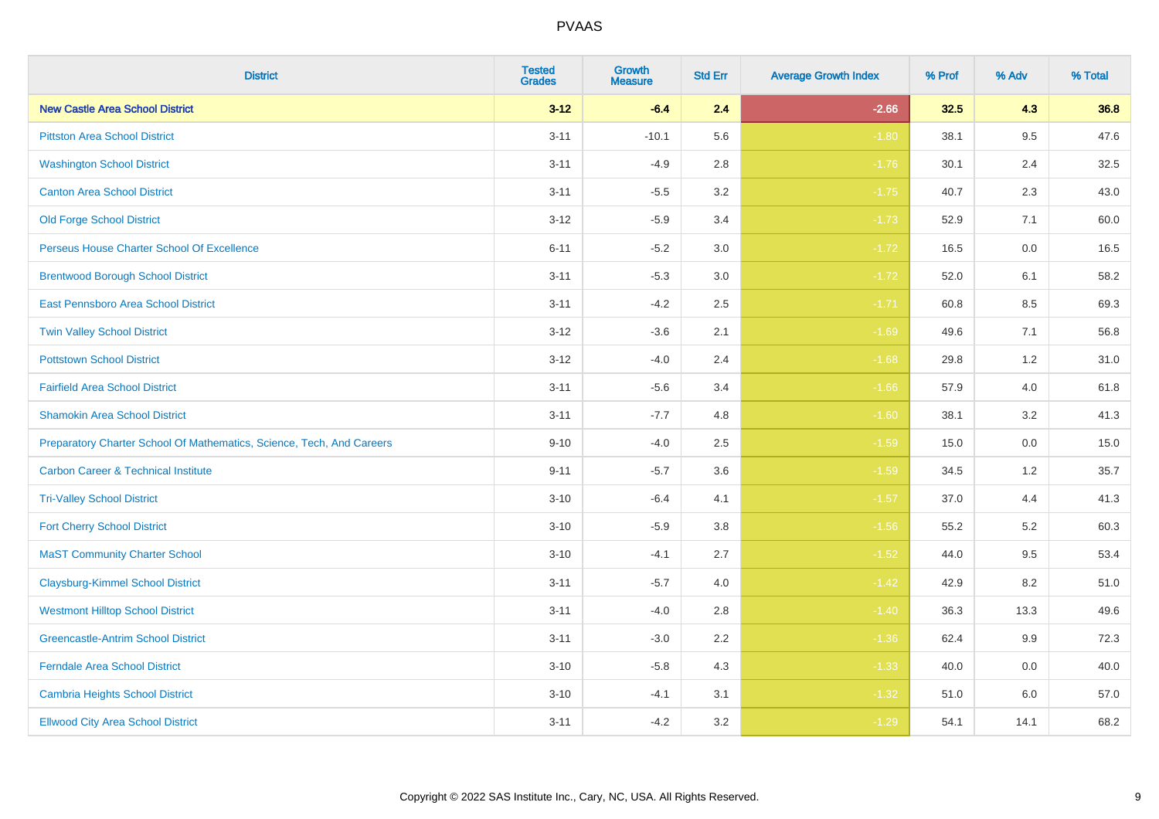| <b>District</b>                                                       | <b>Tested</b><br><b>Grades</b> | Growth<br><b>Measure</b> | <b>Std Err</b> | <b>Average Growth Index</b> | % Prof | % Adv | % Total |
|-----------------------------------------------------------------------|--------------------------------|--------------------------|----------------|-----------------------------|--------|-------|---------|
| <b>New Castle Area School District</b>                                | $3 - 12$                       | $-6.4$                   | 2.4            | $-2.66$                     | 32.5   | 4.3   | 36.8    |
| <b>Pittston Area School District</b>                                  | $3 - 11$                       | $-10.1$                  | 5.6            | $-1.80$                     | 38.1   | 9.5   | 47.6    |
| <b>Washington School District</b>                                     | $3 - 11$                       | $-4.9$                   | 2.8            | $-1.76$                     | 30.1   | 2.4   | 32.5    |
| <b>Canton Area School District</b>                                    | $3 - 11$                       | $-5.5$                   | $3.2\,$        | $-1.75$                     | 40.7   | 2.3   | 43.0    |
| <b>Old Forge School District</b>                                      | $3 - 12$                       | $-5.9$                   | 3.4            | $-1.73$                     | 52.9   | 7.1   | 60.0    |
| Perseus House Charter School Of Excellence                            | $6 - 11$                       | $-5.2$                   | 3.0            | $-1.72$                     | 16.5   | 0.0   | 16.5    |
| <b>Brentwood Borough School District</b>                              | $3 - 11$                       | $-5.3$                   | $3.0\,$        | $-1.72$                     | 52.0   | 6.1   | 58.2    |
| East Pennsboro Area School District                                   | $3 - 11$                       | $-4.2$                   | 2.5            | $-1.71$                     | 60.8   | 8.5   | 69.3    |
| <b>Twin Valley School District</b>                                    | $3 - 12$                       | $-3.6$                   | 2.1            | $-1.69$                     | 49.6   | 7.1   | 56.8    |
| <b>Pottstown School District</b>                                      | $3 - 12$                       | $-4.0$                   | 2.4            | $-1.68$                     | 29.8   | 1.2   | 31.0    |
| <b>Fairfield Area School District</b>                                 | $3 - 11$                       | $-5.6$                   | 3.4            | $-1.66$                     | 57.9   | 4.0   | 61.8    |
| <b>Shamokin Area School District</b>                                  | $3 - 11$                       | $-7.7$                   | 4.8            | $-1.60$                     | 38.1   | 3.2   | 41.3    |
| Preparatory Charter School Of Mathematics, Science, Tech, And Careers | $9 - 10$                       | $-4.0$                   | 2.5            | $-1.59$                     | 15.0   | 0.0   | 15.0    |
| <b>Carbon Career &amp; Technical Institute</b>                        | $9 - 11$                       | $-5.7$                   | 3.6            | $-1.59$                     | 34.5   | 1.2   | 35.7    |
| <b>Tri-Valley School District</b>                                     | $3 - 10$                       | $-6.4$                   | 4.1            | $-1.57$                     | 37.0   | 4.4   | 41.3    |
| <b>Fort Cherry School District</b>                                    | $3 - 10$                       | $-5.9$                   | 3.8            | $-1.56$                     | 55.2   | 5.2   | 60.3    |
| <b>MaST Community Charter School</b>                                  | $3 - 10$                       | $-4.1$                   | 2.7            | $-1.52$                     | 44.0   | 9.5   | 53.4    |
| <b>Claysburg-Kimmel School District</b>                               | $3 - 11$                       | $-5.7$                   | 4.0            | $-1.42$                     | 42.9   | 8.2   | 51.0    |
| <b>Westmont Hilltop School District</b>                               | $3 - 11$                       | $-4.0$                   | 2.8            | $-1.40$                     | 36.3   | 13.3  | 49.6    |
| <b>Greencastle-Antrim School District</b>                             | $3 - 11$                       | $-3.0$                   | 2.2            | $-1.36$                     | 62.4   | 9.9   | 72.3    |
| Ferndale Area School District                                         | $3 - 10$                       | $-5.8$                   | 4.3            | $-1.33$                     | 40.0   | 0.0   | 40.0    |
| <b>Cambria Heights School District</b>                                | $3 - 10$                       | $-4.1$                   | 3.1            | $-1.32$                     | 51.0   | 6.0   | 57.0    |
| <b>Ellwood City Area School District</b>                              | $3 - 11$                       | $-4.2$                   | 3.2            | $-1.29$                     | 54.1   | 14.1  | 68.2    |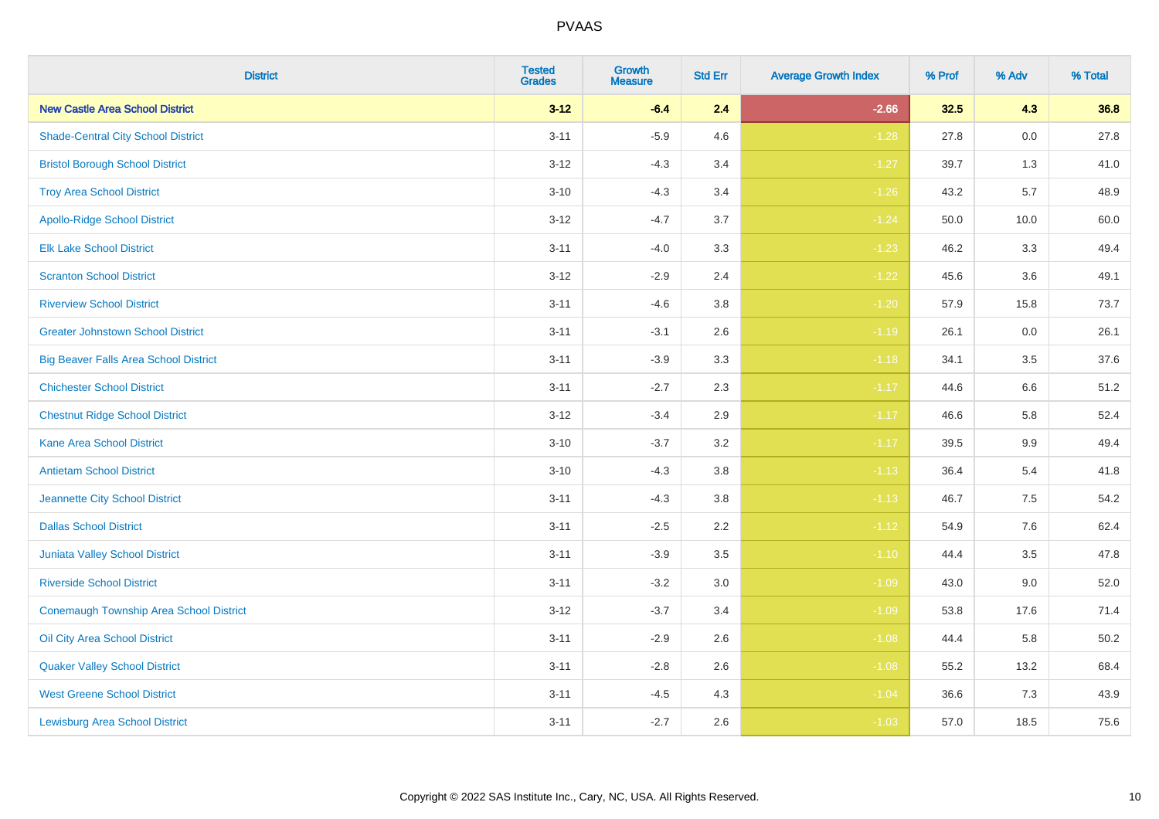| <b>District</b>                                | <b>Tested</b><br><b>Grades</b> | Growth<br><b>Measure</b> | <b>Std Err</b> | <b>Average Growth Index</b> | % Prof | % Adv   | % Total |
|------------------------------------------------|--------------------------------|--------------------------|----------------|-----------------------------|--------|---------|---------|
| <b>New Castle Area School District</b>         | $3 - 12$                       | $-6.4$                   | 2.4            | $-2.66$                     | 32.5   | 4.3     | 36.8    |
| <b>Shade-Central City School District</b>      | $3 - 11$                       | $-5.9$                   | 4.6            | $-1.28$                     | 27.8   | $0.0\,$ | 27.8    |
| <b>Bristol Borough School District</b>         | $3 - 12$                       | $-4.3$                   | 3.4            | $-1.27$                     | 39.7   | 1.3     | 41.0    |
| <b>Troy Area School District</b>               | $3 - 10$                       | $-4.3$                   | 3.4            | $-1.26$                     | 43.2   | 5.7     | 48.9    |
| <b>Apollo-Ridge School District</b>            | $3 - 12$                       | $-4.7$                   | 3.7            | $-1.24$                     | 50.0   | 10.0    | 60.0    |
| <b>Elk Lake School District</b>                | $3 - 11$                       | $-4.0$                   | 3.3            | $-1.23$                     | 46.2   | 3.3     | 49.4    |
| <b>Scranton School District</b>                | $3 - 12$                       | $-2.9$                   | 2.4            | $-1.22$                     | 45.6   | 3.6     | 49.1    |
| <b>Riverview School District</b>               | $3 - 11$                       | $-4.6$                   | 3.8            | $-1.20$                     | 57.9   | 15.8    | 73.7    |
| <b>Greater Johnstown School District</b>       | $3 - 11$                       | $-3.1$                   | 2.6            | $-1.19$                     | 26.1   | 0.0     | 26.1    |
| <b>Big Beaver Falls Area School District</b>   | $3 - 11$                       | $-3.9$                   | 3.3            | $-1.18$                     | 34.1   | 3.5     | 37.6    |
| <b>Chichester School District</b>              | $3 - 11$                       | $-2.7$                   | 2.3            | $-1.17$                     | 44.6   | 6.6     | 51.2    |
| <b>Chestnut Ridge School District</b>          | $3 - 12$                       | $-3.4$                   | 2.9            | $-1.17$                     | 46.6   | 5.8     | 52.4    |
| <b>Kane Area School District</b>               | $3 - 10$                       | $-3.7$                   | $3.2\,$        | $-1.17$                     | 39.5   | 9.9     | 49.4    |
| <b>Antietam School District</b>                | $3 - 10$                       | $-4.3$                   | 3.8            | $-1.13$                     | 36.4   | 5.4     | 41.8    |
| <b>Jeannette City School District</b>          | $3 - 11$                       | $-4.3$                   | 3.8            | $-1.13$                     | 46.7   | 7.5     | 54.2    |
| <b>Dallas School District</b>                  | $3 - 11$                       | $-2.5$                   | 2.2            | $-1.12$                     | 54.9   | $7.6\,$ | 62.4    |
| <b>Juniata Valley School District</b>          | $3 - 11$                       | $-3.9$                   | 3.5            | $-1.10$                     | 44.4   | 3.5     | 47.8    |
| <b>Riverside School District</b>               | $3 - 11$                       | $-3.2$                   | 3.0            | $-1.09$                     | 43.0   | 9.0     | 52.0    |
| <b>Conemaugh Township Area School District</b> | $3 - 12$                       | $-3.7$                   | 3.4            | $-1.09$                     | 53.8   | 17.6    | 71.4    |
| Oil City Area School District                  | $3 - 11$                       | $-2.9$                   | 2.6            | $-1.08$                     | 44.4   | 5.8     | 50.2    |
| <b>Quaker Valley School District</b>           | $3 - 11$                       | $-2.8$                   | 2.6            | $-1.08$                     | 55.2   | 13.2    | 68.4    |
| <b>West Greene School District</b>             | $3 - 11$                       | $-4.5$                   | 4.3            | $-1.04$                     | 36.6   | 7.3     | 43.9    |
| <b>Lewisburg Area School District</b>          | $3 - 11$                       | $-2.7$                   | 2.6            | $-1.03$                     | 57.0   | 18.5    | 75.6    |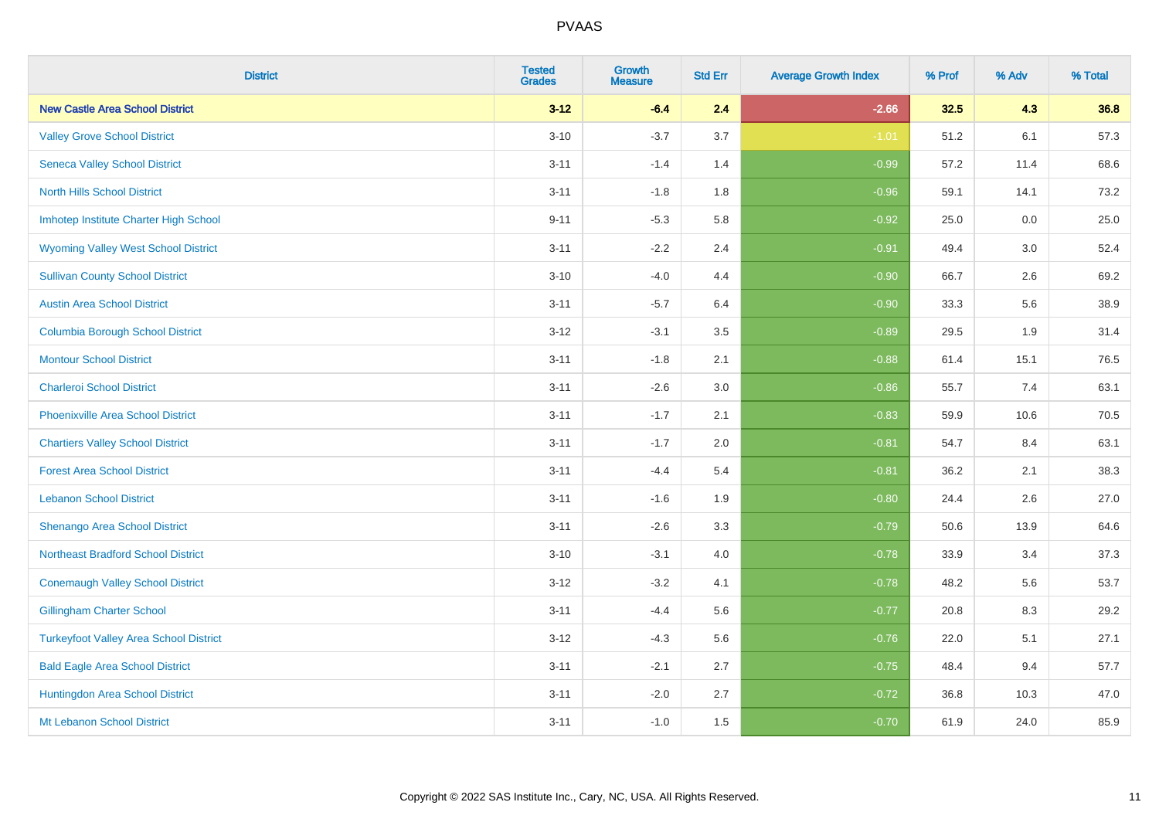| <b>District</b>                               | <b>Tested</b><br><b>Grades</b> | <b>Growth</b><br><b>Measure</b> | <b>Std Err</b> | <b>Average Growth Index</b> | % Prof | % Adv | % Total |
|-----------------------------------------------|--------------------------------|---------------------------------|----------------|-----------------------------|--------|-------|---------|
| <b>New Castle Area School District</b>        | $3 - 12$                       | $-6.4$                          | 2.4            | $-2.66$                     | 32.5   | 4.3   | 36.8    |
| <b>Valley Grove School District</b>           | $3 - 10$                       | $-3.7$                          | 3.7            | $-1.01$                     | 51.2   | 6.1   | 57.3    |
| <b>Seneca Valley School District</b>          | $3 - 11$                       | $-1.4$                          | 1.4            | $-0.99$                     | 57.2   | 11.4  | 68.6    |
| <b>North Hills School District</b>            | $3 - 11$                       | $-1.8$                          | 1.8            | $-0.96$                     | 59.1   | 14.1  | 73.2    |
| Imhotep Institute Charter High School         | $9 - 11$                       | $-5.3$                          | 5.8            | $-0.92$                     | 25.0   | 0.0   | 25.0    |
| <b>Wyoming Valley West School District</b>    | $3 - 11$                       | $-2.2$                          | 2.4            | $-0.91$                     | 49.4   | 3.0   | 52.4    |
| <b>Sullivan County School District</b>        | $3 - 10$                       | $-4.0$                          | 4.4            | $-0.90$                     | 66.7   | 2.6   | 69.2    |
| <b>Austin Area School District</b>            | $3 - 11$                       | $-5.7$                          | 6.4            | $-0.90$                     | 33.3   | 5.6   | 38.9    |
| <b>Columbia Borough School District</b>       | $3 - 12$                       | $-3.1$                          | 3.5            | $-0.89$                     | 29.5   | 1.9   | 31.4    |
| <b>Montour School District</b>                | $3 - 11$                       | $-1.8$                          | 2.1            | $-0.88$                     | 61.4   | 15.1  | 76.5    |
| <b>Charleroi School District</b>              | $3 - 11$                       | $-2.6$                          | 3.0            | $-0.86$                     | 55.7   | 7.4   | 63.1    |
| <b>Phoenixville Area School District</b>      | $3 - 11$                       | $-1.7$                          | 2.1            | $-0.83$                     | 59.9   | 10.6  | 70.5    |
| <b>Chartiers Valley School District</b>       | $3 - 11$                       | $-1.7$                          | 2.0            | $-0.81$                     | 54.7   | 8.4   | 63.1    |
| <b>Forest Area School District</b>            | $3 - 11$                       | $-4.4$                          | 5.4            | $-0.81$                     | 36.2   | 2.1   | 38.3    |
| <b>Lebanon School District</b>                | $3 - 11$                       | $-1.6$                          | 1.9            | $-0.80$                     | 24.4   | 2.6   | 27.0    |
| Shenango Area School District                 | $3 - 11$                       | $-2.6$                          | 3.3            | $-0.79$                     | 50.6   | 13.9  | 64.6    |
| <b>Northeast Bradford School District</b>     | $3 - 10$                       | $-3.1$                          | 4.0            | $-0.78$                     | 33.9   | 3.4   | 37.3    |
| <b>Conemaugh Valley School District</b>       | $3 - 12$                       | $-3.2$                          | 4.1            | $-0.78$                     | 48.2   | 5.6   | 53.7    |
| <b>Gillingham Charter School</b>              | $3 - 11$                       | $-4.4$                          | 5.6            | $-0.77$                     | 20.8   | 8.3   | 29.2    |
| <b>Turkeyfoot Valley Area School District</b> | $3 - 12$                       | $-4.3$                          | 5.6            | $-0.76$                     | 22.0   | 5.1   | 27.1    |
| <b>Bald Eagle Area School District</b>        | $3 - 11$                       | $-2.1$                          | 2.7            | $-0.75$                     | 48.4   | 9.4   | 57.7    |
| Huntingdon Area School District               | $3 - 11$                       | $-2.0$                          | 2.7            | $-0.72$                     | 36.8   | 10.3  | 47.0    |
| Mt Lebanon School District                    | $3 - 11$                       | $-1.0$                          | 1.5            | $-0.70$                     | 61.9   | 24.0  | 85.9    |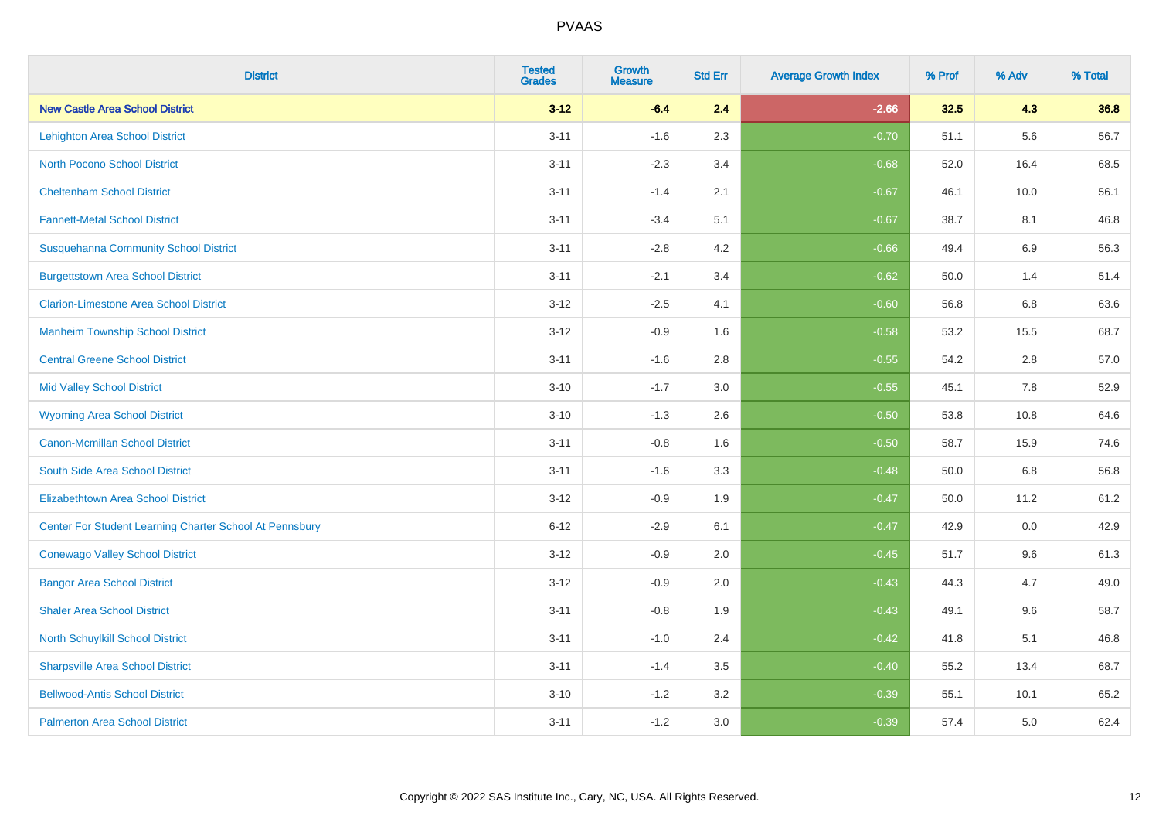| <b>District</b>                                         | <b>Tested</b><br><b>Grades</b> | <b>Growth</b><br><b>Measure</b> | <b>Std Err</b> | <b>Average Growth Index</b> | % Prof | % Adv   | % Total |
|---------------------------------------------------------|--------------------------------|---------------------------------|----------------|-----------------------------|--------|---------|---------|
| <b>New Castle Area School District</b>                  | $3 - 12$                       | $-6.4$                          | 2.4            | $-2.66$                     | 32.5   | 4.3     | 36.8    |
| <b>Lehighton Area School District</b>                   | $3 - 11$                       | $-1.6$                          | 2.3            | $-0.70$                     | 51.1   | 5.6     | 56.7    |
| <b>North Pocono School District</b>                     | $3 - 11$                       | $-2.3$                          | 3.4            | $-0.68$                     | 52.0   | 16.4    | 68.5    |
| <b>Cheltenham School District</b>                       | $3 - 11$                       | $-1.4$                          | 2.1            | $-0.67$                     | 46.1   | 10.0    | 56.1    |
| <b>Fannett-Metal School District</b>                    | $3 - 11$                       | $-3.4$                          | 5.1            | $-0.67$                     | 38.7   | 8.1     | 46.8    |
| <b>Susquehanna Community School District</b>            | $3 - 11$                       | $-2.8$                          | 4.2            | $-0.66$                     | 49.4   | 6.9     | 56.3    |
| <b>Burgettstown Area School District</b>                | $3 - 11$                       | $-2.1$                          | 3.4            | $-0.62$                     | 50.0   | 1.4     | 51.4    |
| <b>Clarion-Limestone Area School District</b>           | $3 - 12$                       | $-2.5$                          | 4.1            | $-0.60$                     | 56.8   | 6.8     | 63.6    |
| <b>Manheim Township School District</b>                 | $3 - 12$                       | $-0.9$                          | 1.6            | $-0.58$                     | 53.2   | 15.5    | 68.7    |
| <b>Central Greene School District</b>                   | $3 - 11$                       | $-1.6$                          | 2.8            | $-0.55$                     | 54.2   | $2.8\,$ | 57.0    |
| <b>Mid Valley School District</b>                       | $3 - 10$                       | $-1.7$                          | 3.0            | $-0.55$                     | 45.1   | 7.8     | 52.9    |
| <b>Wyoming Area School District</b>                     | $3 - 10$                       | $-1.3$                          | 2.6            | $-0.50$                     | 53.8   | 10.8    | 64.6    |
| Canon-Mcmillan School District                          | $3 - 11$                       | $-0.8$                          | 1.6            | $-0.50$                     | 58.7   | 15.9    | 74.6    |
| South Side Area School District                         | $3 - 11$                       | $-1.6$                          | 3.3            | $-0.48$                     | 50.0   | 6.8     | 56.8    |
| <b>Elizabethtown Area School District</b>               | $3 - 12$                       | $-0.9$                          | 1.9            | $-0.47$                     | 50.0   | 11.2    | 61.2    |
| Center For Student Learning Charter School At Pennsbury | $6 - 12$                       | $-2.9$                          | 6.1            | $-0.47$                     | 42.9   | 0.0     | 42.9    |
| <b>Conewago Valley School District</b>                  | $3 - 12$                       | $-0.9$                          | 2.0            | $-0.45$                     | 51.7   | 9.6     | 61.3    |
| <b>Bangor Area School District</b>                      | $3 - 12$                       | $-0.9$                          | 2.0            | $-0.43$                     | 44.3   | 4.7     | 49.0    |
| <b>Shaler Area School District</b>                      | $3 - 11$                       | $-0.8$                          | 1.9            | $-0.43$                     | 49.1   | 9.6     | 58.7    |
| North Schuylkill School District                        | $3 - 11$                       | $-1.0$                          | 2.4            | $-0.42$                     | 41.8   | 5.1     | 46.8    |
| <b>Sharpsville Area School District</b>                 | $3 - 11$                       | $-1.4$                          | 3.5            | $-0.40$                     | 55.2   | 13.4    | 68.7    |
| <b>Bellwood-Antis School District</b>                   | $3 - 10$                       | $-1.2$                          | 3.2            | $-0.39$                     | 55.1   | 10.1    | 65.2    |
| <b>Palmerton Area School District</b>                   | $3 - 11$                       | $-1.2$                          | 3.0            | $-0.39$                     | 57.4   | 5.0     | 62.4    |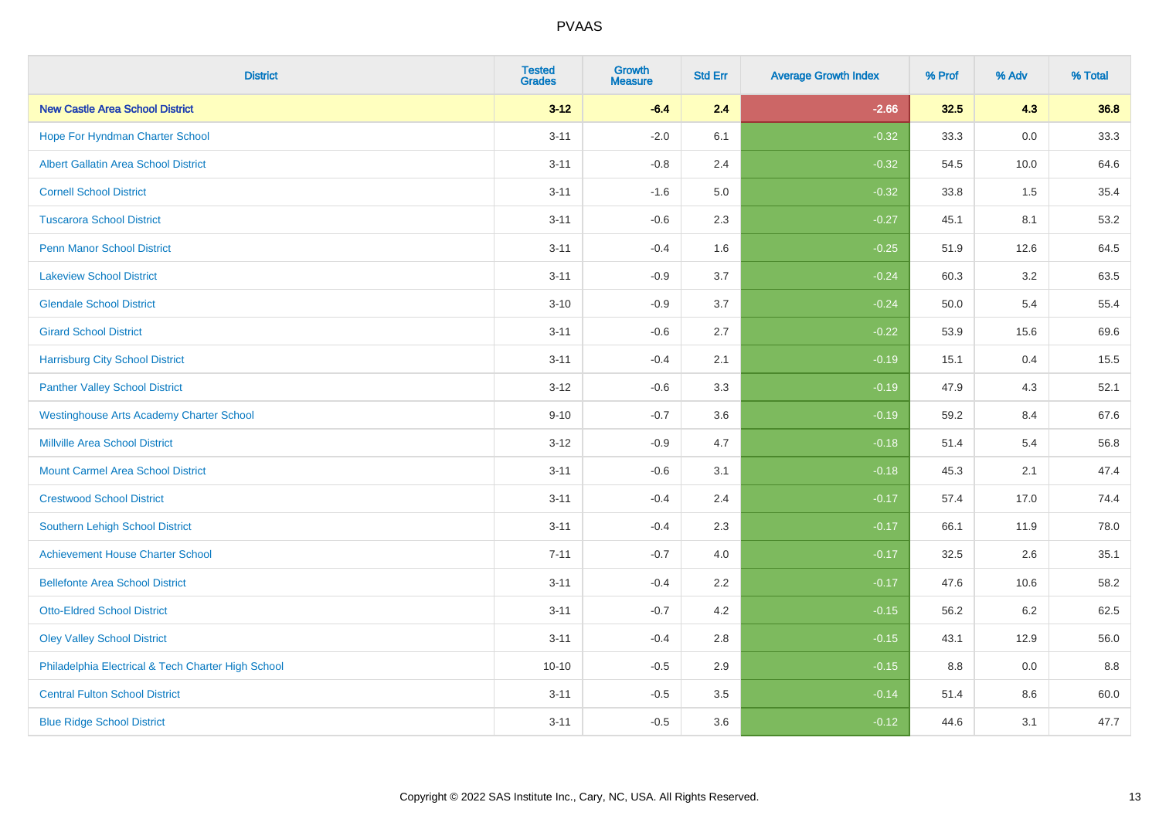| <b>District</b>                                    | <b>Tested</b><br><b>Grades</b> | Growth<br><b>Measure</b> | <b>Std Err</b> | <b>Average Growth Index</b> | % Prof | % Adv   | % Total |
|----------------------------------------------------|--------------------------------|--------------------------|----------------|-----------------------------|--------|---------|---------|
| <b>New Castle Area School District</b>             | $3 - 12$                       | $-6.4$                   | 2.4            | $-2.66$                     | 32.5   | 4.3     | 36.8    |
| Hope For Hyndman Charter School                    | $3 - 11$                       | $-2.0$                   | 6.1            | $-0.32$                     | 33.3   | 0.0     | 33.3    |
| <b>Albert Gallatin Area School District</b>        | $3 - 11$                       | $-0.8$                   | 2.4            | $-0.32$                     | 54.5   | 10.0    | 64.6    |
| <b>Cornell School District</b>                     | $3 - 11$                       | $-1.6$                   | 5.0            | $-0.32$                     | 33.8   | 1.5     | 35.4    |
| <b>Tuscarora School District</b>                   | $3 - 11$                       | $-0.6$                   | 2.3            | $-0.27$                     | 45.1   | 8.1     | 53.2    |
| <b>Penn Manor School District</b>                  | $3 - 11$                       | $-0.4$                   | 1.6            | $-0.25$                     | 51.9   | 12.6    | 64.5    |
| <b>Lakeview School District</b>                    | $3 - 11$                       | $-0.9$                   | 3.7            | $-0.24$                     | 60.3   | 3.2     | 63.5    |
| <b>Glendale School District</b>                    | $3 - 10$                       | $-0.9$                   | 3.7            | $-0.24$                     | 50.0   | 5.4     | 55.4    |
| <b>Girard School District</b>                      | $3 - 11$                       | $-0.6$                   | 2.7            | $-0.22$                     | 53.9   | 15.6    | 69.6    |
| <b>Harrisburg City School District</b>             | $3 - 11$                       | $-0.4$                   | 2.1            | $-0.19$                     | 15.1   | 0.4     | 15.5    |
| <b>Panther Valley School District</b>              | $3 - 12$                       | $-0.6$                   | 3.3            | $-0.19$                     | 47.9   | 4.3     | 52.1    |
| <b>Westinghouse Arts Academy Charter School</b>    | $9 - 10$                       | $-0.7$                   | 3.6            | $-0.19$                     | 59.2   | 8.4     | 67.6    |
| <b>Millville Area School District</b>              | $3 - 12$                       | $-0.9$                   | 4.7            | $-0.18$                     | 51.4   | 5.4     | 56.8    |
| <b>Mount Carmel Area School District</b>           | $3 - 11$                       | $-0.6$                   | 3.1            | $-0.18$                     | 45.3   | 2.1     | 47.4    |
| <b>Crestwood School District</b>                   | $3 - 11$                       | $-0.4$                   | 2.4            | $-0.17$                     | 57.4   | 17.0    | 74.4    |
| Southern Lehigh School District                    | $3 - 11$                       | $-0.4$                   | 2.3            | $-0.17$                     | 66.1   | 11.9    | 78.0    |
| <b>Achievement House Charter School</b>            | $7 - 11$                       | $-0.7$                   | 4.0            | $-0.17$                     | 32.5   | 2.6     | 35.1    |
| <b>Bellefonte Area School District</b>             | $3 - 11$                       | $-0.4$                   | 2.2            | $-0.17$                     | 47.6   | 10.6    | 58.2    |
| <b>Otto-Eldred School District</b>                 | $3 - 11$                       | $-0.7$                   | 4.2            | $-0.15$                     | 56.2   | $6.2\,$ | 62.5    |
| <b>Oley Valley School District</b>                 | $3 - 11$                       | $-0.4$                   | 2.8            | $-0.15$                     | 43.1   | 12.9    | 56.0    |
| Philadelphia Electrical & Tech Charter High School | $10 - 10$                      | $-0.5$                   | 2.9            | $-0.15$                     | 8.8    | 0.0     | 8.8     |
| <b>Central Fulton School District</b>              | $3 - 11$                       | $-0.5$                   | 3.5            | $-0.14$                     | 51.4   | 8.6     | 60.0    |
| <b>Blue Ridge School District</b>                  | $3 - 11$                       | $-0.5$                   | 3.6            | $-0.12$                     | 44.6   | 3.1     | 47.7    |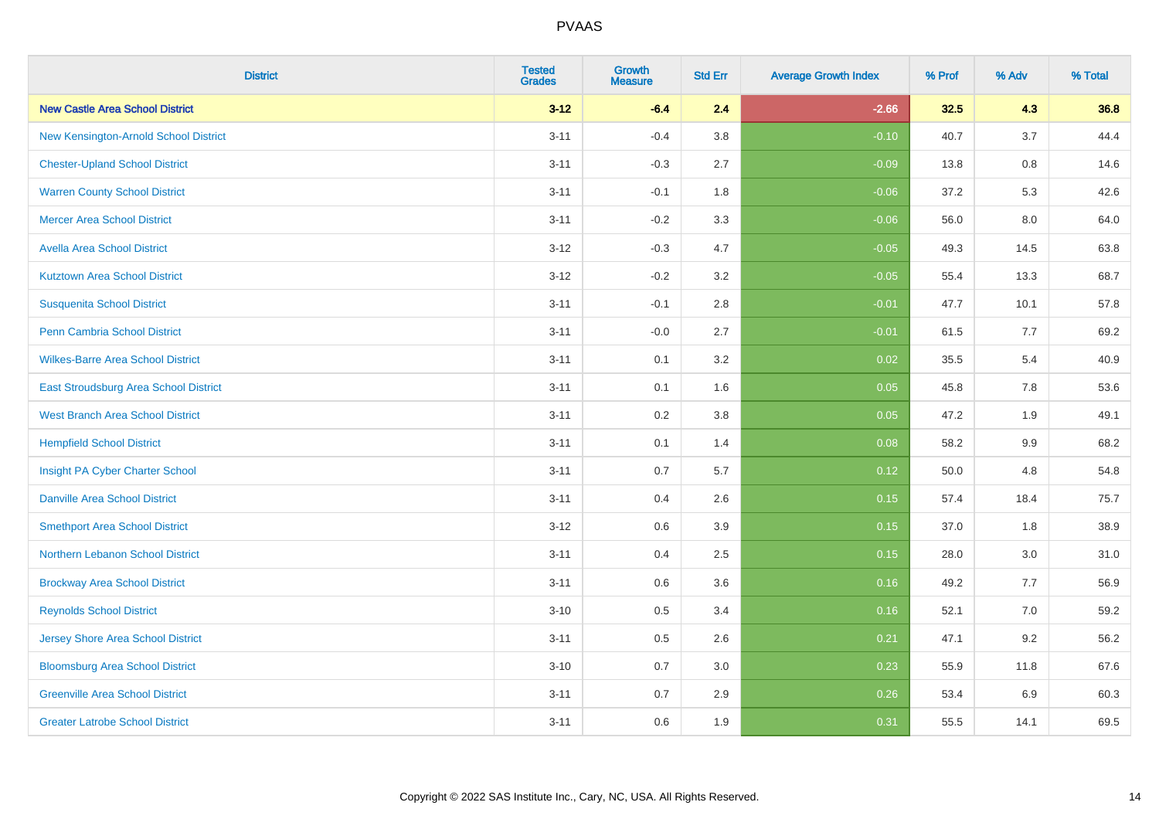| <b>District</b>                          | <b>Tested</b><br><b>Grades</b> | <b>Growth</b><br><b>Measure</b> | <b>Std Err</b> | <b>Average Growth Index</b> | % Prof | % Adv   | % Total |
|------------------------------------------|--------------------------------|---------------------------------|----------------|-----------------------------|--------|---------|---------|
| <b>New Castle Area School District</b>   | $3 - 12$                       | $-6.4$                          | 2.4            | $-2.66$                     | 32.5   | 4.3     | 36.8    |
| New Kensington-Arnold School District    | $3 - 11$                       | $-0.4$                          | 3.8            | $-0.10$                     | 40.7   | 3.7     | 44.4    |
| <b>Chester-Upland School District</b>    | $3 - 11$                       | $-0.3$                          | 2.7            | $-0.09$                     | 13.8   | $0.8\,$ | 14.6    |
| <b>Warren County School District</b>     | $3 - 11$                       | $-0.1$                          | 1.8            | $-0.06$                     | 37.2   | 5.3     | 42.6    |
| <b>Mercer Area School District</b>       | $3 - 11$                       | $-0.2$                          | 3.3            | $-0.06$                     | 56.0   | 8.0     | 64.0    |
| <b>Avella Area School District</b>       | $3 - 12$                       | $-0.3$                          | 4.7            | $-0.05$                     | 49.3   | 14.5    | 63.8    |
| <b>Kutztown Area School District</b>     | $3 - 12$                       | $-0.2$                          | 3.2            | $-0.05$                     | 55.4   | 13.3    | 68.7    |
| <b>Susquenita School District</b>        | $3 - 11$                       | $-0.1$                          | 2.8            | $-0.01$                     | 47.7   | 10.1    | 57.8    |
| <b>Penn Cambria School District</b>      | $3 - 11$                       | $-0.0$                          | 2.7            | $-0.01$                     | 61.5   | 7.7     | 69.2    |
| <b>Wilkes-Barre Area School District</b> | $3 - 11$                       | 0.1                             | 3.2            | 0.02                        | 35.5   | 5.4     | 40.9    |
| East Stroudsburg Area School District    | $3 - 11$                       | 0.1                             | 1.6            | 0.05                        | 45.8   | 7.8     | 53.6    |
| <b>West Branch Area School District</b>  | $3 - 11$                       | 0.2                             | 3.8            | 0.05                        | 47.2   | 1.9     | 49.1    |
| <b>Hempfield School District</b>         | $3 - 11$                       | 0.1                             | 1.4            | 0.08                        | 58.2   | $9.9\,$ | 68.2    |
| Insight PA Cyber Charter School          | $3 - 11$                       | 0.7                             | 5.7            | 0.12                        | 50.0   | 4.8     | 54.8    |
| <b>Danville Area School District</b>     | $3 - 11$                       | 0.4                             | 2.6            | 0.15                        | 57.4   | 18.4    | 75.7    |
| <b>Smethport Area School District</b>    | $3 - 12$                       | 0.6                             | 3.9            | 0.15                        | 37.0   | 1.8     | 38.9    |
| Northern Lebanon School District         | $3 - 11$                       | 0.4                             | 2.5            | 0.15                        | 28.0   | 3.0     | 31.0    |
| <b>Brockway Area School District</b>     | $3 - 11$                       | 0.6                             | 3.6            | 0.16                        | 49.2   | 7.7     | 56.9    |
| <b>Reynolds School District</b>          | $3 - 10$                       | 0.5                             | 3.4            | 0.16                        | 52.1   | 7.0     | 59.2    |
| <b>Jersey Shore Area School District</b> | $3 - 11$                       | 0.5                             | 2.6            | 0.21                        | 47.1   | 9.2     | 56.2    |
| <b>Bloomsburg Area School District</b>   | $3 - 10$                       | 0.7                             | 3.0            | 0.23                        | 55.9   | 11.8    | 67.6    |
| <b>Greenville Area School District</b>   | $3 - 11$                       | 0.7                             | 2.9            | 0.26                        | 53.4   | 6.9     | 60.3    |
| <b>Greater Latrobe School District</b>   | $3 - 11$                       | 0.6                             | 1.9            | 0.31                        | 55.5   | 14.1    | 69.5    |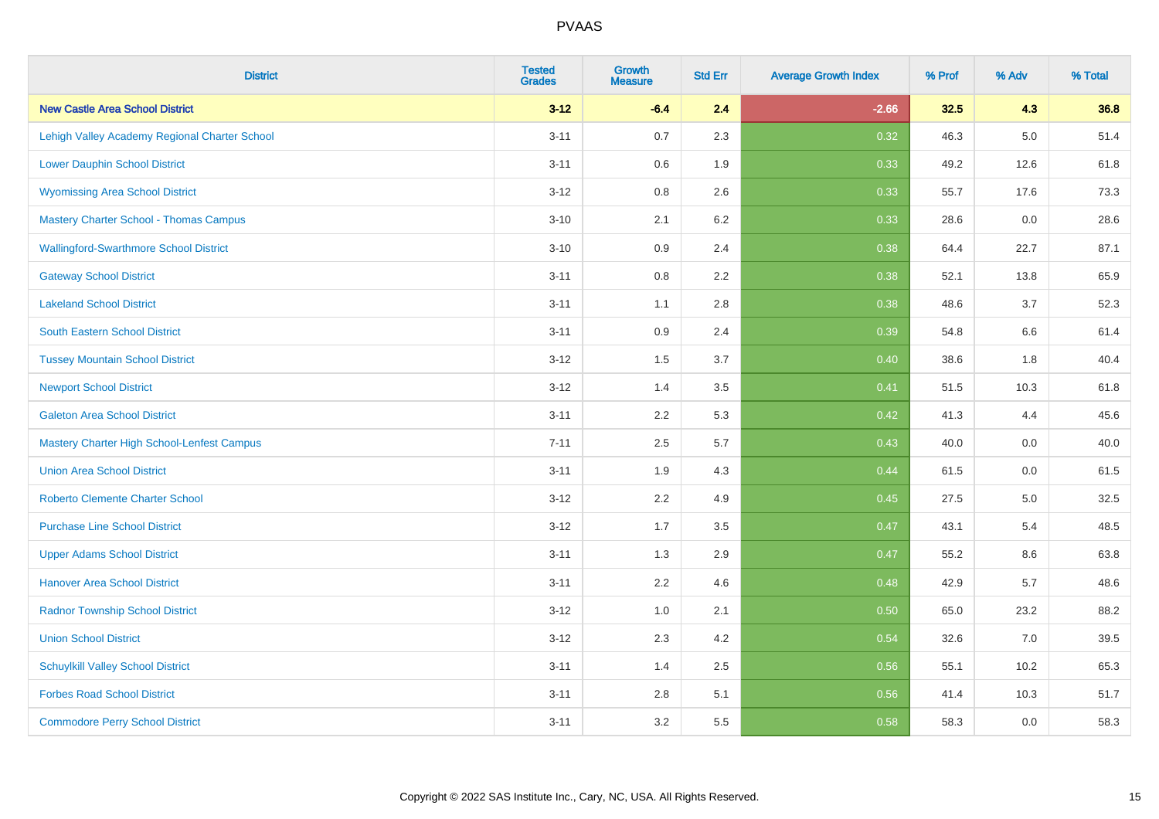| <b>District</b>                                   | <b>Tested</b><br><b>Grades</b> | <b>Growth</b><br><b>Measure</b> | <b>Std Err</b> | <b>Average Growth Index</b> | % Prof | % Adv   | % Total |
|---------------------------------------------------|--------------------------------|---------------------------------|----------------|-----------------------------|--------|---------|---------|
| <b>New Castle Area School District</b>            | $3 - 12$                       | $-6.4$                          | 2.4            | $-2.66$                     | 32.5   | 4.3     | 36.8    |
| Lehigh Valley Academy Regional Charter School     | $3 - 11$                       | 0.7                             | 2.3            | 0.32                        | 46.3   | $5.0\,$ | 51.4    |
| <b>Lower Dauphin School District</b>              | $3 - 11$                       | 0.6                             | 1.9            | 0.33                        | 49.2   | 12.6    | 61.8    |
| <b>Wyomissing Area School District</b>            | $3 - 12$                       | 0.8                             | 2.6            | 0.33                        | 55.7   | 17.6    | 73.3    |
| <b>Mastery Charter School - Thomas Campus</b>     | $3 - 10$                       | 2.1                             | 6.2            | 0.33                        | 28.6   | 0.0     | 28.6    |
| <b>Wallingford-Swarthmore School District</b>     | $3 - 10$                       | 0.9                             | 2.4            | 0.38                        | 64.4   | 22.7    | 87.1    |
| <b>Gateway School District</b>                    | $3 - 11$                       | 0.8                             | 2.2            | 0.38                        | 52.1   | 13.8    | 65.9    |
| <b>Lakeland School District</b>                   | $3 - 11$                       | 1.1                             | 2.8            | 0.38                        | 48.6   | 3.7     | 52.3    |
| <b>South Eastern School District</b>              | $3 - 11$                       | 0.9                             | 2.4            | 0.39                        | 54.8   | 6.6     | 61.4    |
| <b>Tussey Mountain School District</b>            | $3 - 12$                       | 1.5                             | 3.7            | 0.40                        | 38.6   | 1.8     | 40.4    |
| <b>Newport School District</b>                    | $3 - 12$                       | 1.4                             | 3.5            | 0.41                        | 51.5   | 10.3    | 61.8    |
| <b>Galeton Area School District</b>               | $3 - 11$                       | 2.2                             | 5.3            | 0.42                        | 41.3   | 4.4     | 45.6    |
| <b>Mastery Charter High School-Lenfest Campus</b> | $7 - 11$                       | 2.5                             | 5.7            | 0.43                        | 40.0   | 0.0     | 40.0    |
| <b>Union Area School District</b>                 | $3 - 11$                       | 1.9                             | 4.3            | 0.44                        | 61.5   | 0.0     | 61.5    |
| <b>Roberto Clemente Charter School</b>            | $3 - 12$                       | 2.2                             | 4.9            | $\boxed{0.45}$              | 27.5   | $5.0\,$ | 32.5    |
| <b>Purchase Line School District</b>              | $3 - 12$                       | 1.7                             | 3.5            | 0.47                        | 43.1   | 5.4     | 48.5    |
| <b>Upper Adams School District</b>                | $3 - 11$                       | 1.3                             | 2.9            | 0.47                        | 55.2   | 8.6     | 63.8    |
| <b>Hanover Area School District</b>               | $3 - 11$                       | 2.2                             | 4.6            | 0.48                        | 42.9   | 5.7     | 48.6    |
| <b>Radnor Township School District</b>            | $3 - 12$                       | 1.0                             | 2.1            | 0.50                        | 65.0   | 23.2    | 88.2    |
| <b>Union School District</b>                      | $3 - 12$                       | 2.3                             | 4.2            | 0.54                        | 32.6   | 7.0     | 39.5    |
| <b>Schuylkill Valley School District</b>          | $3 - 11$                       | 1.4                             | 2.5            | 0.56                        | 55.1   | 10.2    | 65.3    |
| <b>Forbes Road School District</b>                | $3 - 11$                       | 2.8                             | 5.1            | 0.56                        | 41.4   | 10.3    | 51.7    |
| <b>Commodore Perry School District</b>            | $3 - 11$                       | 3.2                             | 5.5            | 0.58                        | 58.3   | 0.0     | 58.3    |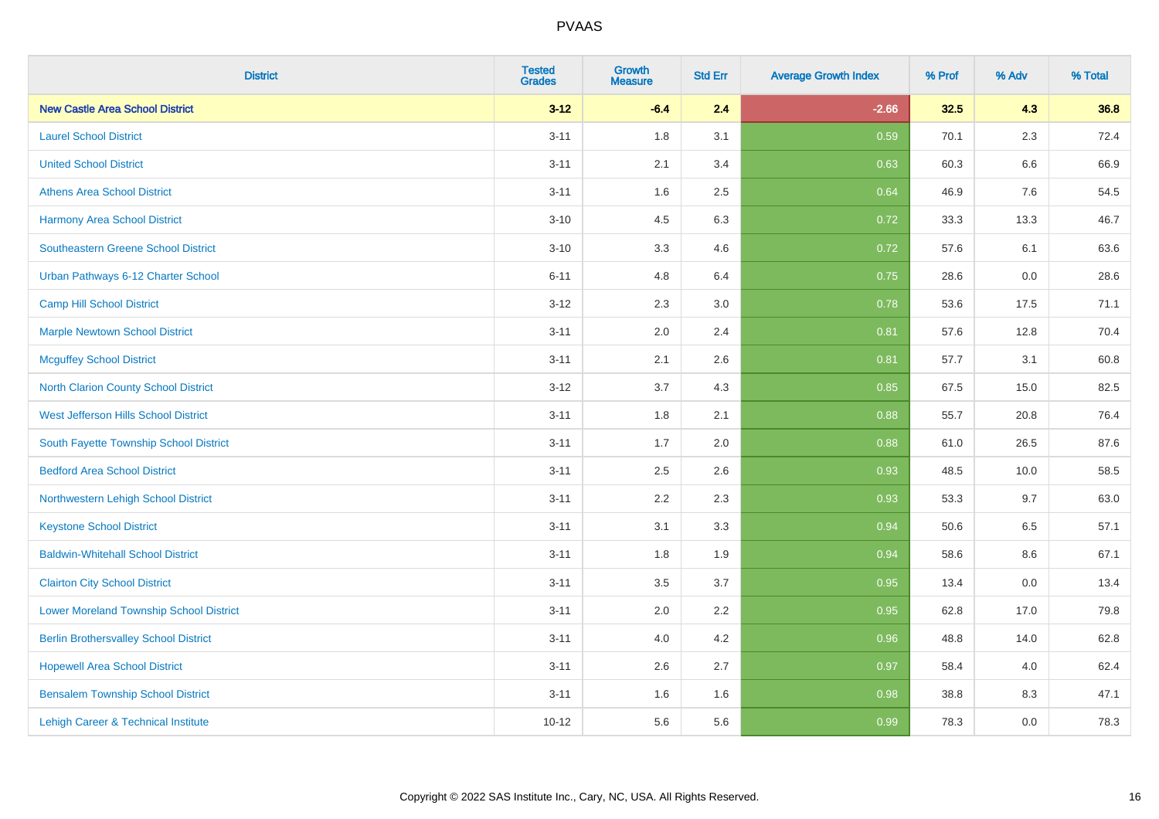| <b>District</b>                                | <b>Tested</b><br><b>Grades</b> | <b>Growth</b><br><b>Measure</b> | <b>Std Err</b> | <b>Average Growth Index</b> | % Prof | % Adv   | % Total |
|------------------------------------------------|--------------------------------|---------------------------------|----------------|-----------------------------|--------|---------|---------|
| <b>New Castle Area School District</b>         | $3 - 12$                       | $-6.4$                          | 2.4            | $-2.66$                     | 32.5   | 4.3     | 36.8    |
| <b>Laurel School District</b>                  | $3 - 11$                       | 1.8                             | 3.1            | 0.59                        | 70.1   | 2.3     | 72.4    |
| <b>United School District</b>                  | $3 - 11$                       | 2.1                             | 3.4            | 0.63                        | 60.3   | 6.6     | 66.9    |
| <b>Athens Area School District</b>             | $3 - 11$                       | 1.6                             | 2.5            | 0.64                        | 46.9   | $7.6\,$ | 54.5    |
| Harmony Area School District                   | $3 - 10$                       | 4.5                             | 6.3            | 0.72                        | 33.3   | 13.3    | 46.7    |
| <b>Southeastern Greene School District</b>     | $3 - 10$                       | 3.3                             | 4.6            | 0.72                        | 57.6   | 6.1     | 63.6    |
| Urban Pathways 6-12 Charter School             | $6 - 11$                       | 4.8                             | 6.4            | 0.75                        | 28.6   | $0.0\,$ | 28.6    |
| <b>Camp Hill School District</b>               | $3 - 12$                       | 2.3                             | 3.0            | 0.78                        | 53.6   | 17.5    | 71.1    |
| <b>Marple Newtown School District</b>          | $3 - 11$                       | 2.0                             | 2.4            | 0.81                        | 57.6   | 12.8    | 70.4    |
| <b>Mcguffey School District</b>                | $3 - 11$                       | 2.1                             | 2.6            | 0.81                        | 57.7   | 3.1     | 60.8    |
| North Clarion County School District           | $3 - 12$                       | 3.7                             | 4.3            | 0.85                        | 67.5   | 15.0    | 82.5    |
| <b>West Jefferson Hills School District</b>    | $3 - 11$                       | 1.8                             | 2.1            | 0.88                        | 55.7   | 20.8    | 76.4    |
| South Fayette Township School District         | $3 - 11$                       | 1.7                             | 2.0            | 0.88                        | 61.0   | 26.5    | 87.6    |
| <b>Bedford Area School District</b>            | $3 - 11$                       | 2.5                             | 2.6            | 0.93                        | 48.5   | 10.0    | 58.5    |
| Northwestern Lehigh School District            | $3 - 11$                       | 2.2                             | 2.3            | 0.93                        | 53.3   | 9.7     | 63.0    |
| <b>Keystone School District</b>                | $3 - 11$                       | 3.1                             | 3.3            | 0.94                        | 50.6   | 6.5     | 57.1    |
| <b>Baldwin-Whitehall School District</b>       | $3 - 11$                       | 1.8                             | 1.9            | 0.94                        | 58.6   | 8.6     | 67.1    |
| <b>Clairton City School District</b>           | $3 - 11$                       | 3.5                             | 3.7            | 0.95                        | 13.4   | 0.0     | 13.4    |
| <b>Lower Moreland Township School District</b> | $3 - 11$                       | 2.0                             | 2.2            | 0.95                        | 62.8   | 17.0    | 79.8    |
| <b>Berlin Brothersvalley School District</b>   | $3 - 11$                       | 4.0                             | 4.2            | 0.96                        | 48.8   | 14.0    | 62.8    |
| <b>Hopewell Area School District</b>           | $3 - 11$                       | 2.6                             | 2.7            | 0.97                        | 58.4   | 4.0     | 62.4    |
| <b>Bensalem Township School District</b>       | $3 - 11$                       | 1.6                             | 1.6            | 0.98                        | 38.8   | 8.3     | 47.1    |
| Lehigh Career & Technical Institute            | $10 - 12$                      | 5.6                             | 5.6            | 0.99                        | 78.3   | 0.0     | 78.3    |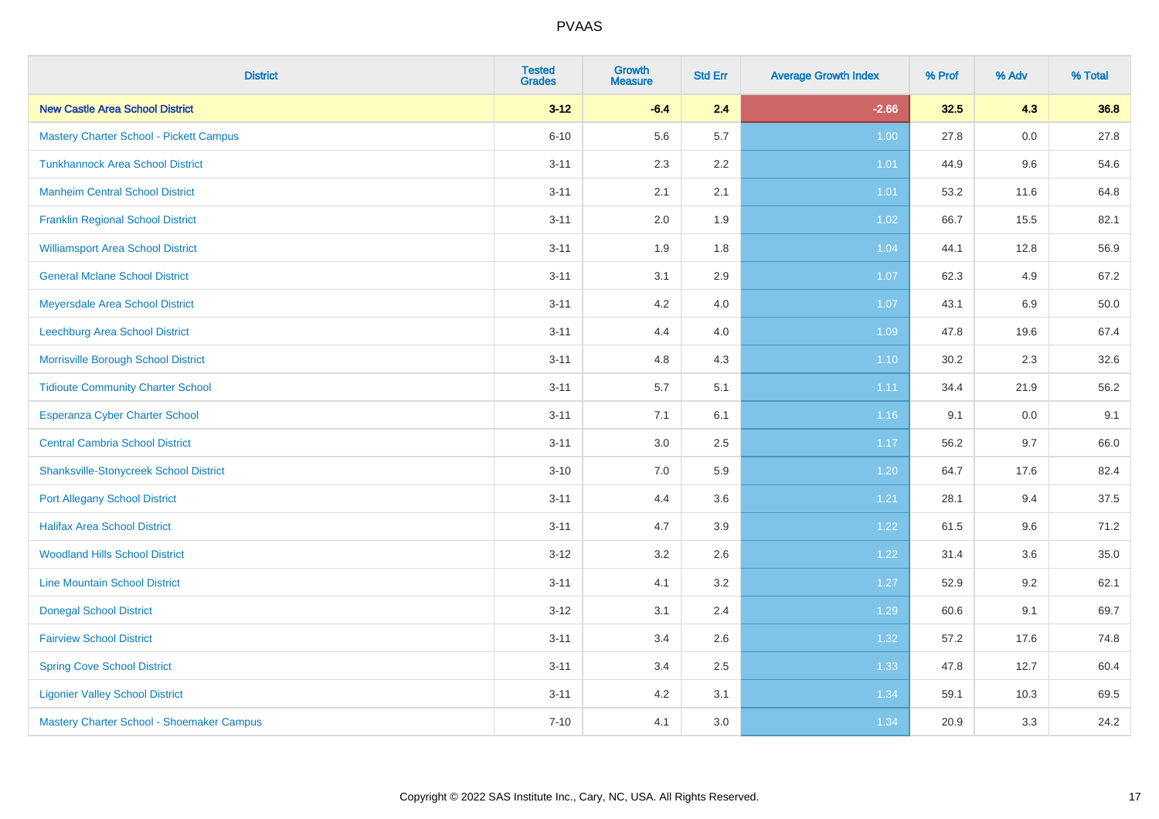| <b>District</b>                                | <b>Tested</b><br><b>Grades</b> | <b>Growth</b><br><b>Measure</b> | <b>Std Err</b> | <b>Average Growth Index</b> | % Prof | % Adv | % Total |
|------------------------------------------------|--------------------------------|---------------------------------|----------------|-----------------------------|--------|-------|---------|
| <b>New Castle Area School District</b>         | $3 - 12$                       | $-6.4$                          | 2.4            | $-2.66$                     | 32.5   | 4.3   | 36.8    |
| <b>Mastery Charter School - Pickett Campus</b> | $6 - 10$                       | 5.6                             | 5.7            | 1.00                        | 27.8   | 0.0   | 27.8    |
| <b>Tunkhannock Area School District</b>        | $3 - 11$                       | 2.3                             | 2.2            | 1.01                        | 44.9   | 9.6   | 54.6    |
| <b>Manheim Central School District</b>         | $3 - 11$                       | 2.1                             | 2.1            | 1.01                        | 53.2   | 11.6  | 64.8    |
| <b>Franklin Regional School District</b>       | $3 - 11$                       | 2.0                             | 1.9            | 1.02                        | 66.7   | 15.5  | 82.1    |
| <b>Williamsport Area School District</b>       | $3 - 11$                       | 1.9                             | 1.8            | 1.04                        | 44.1   | 12.8  | 56.9    |
| <b>General Mclane School District</b>          | $3 - 11$                       | 3.1                             | 2.9            | 1.07                        | 62.3   | 4.9   | 67.2    |
| Meyersdale Area School District                | $3 - 11$                       | 4.2                             | 4.0            | 1.07                        | 43.1   | 6.9   | 50.0    |
| Leechburg Area School District                 | $3 - 11$                       | 4.4                             | 4.0            | 1.09                        | 47.8   | 19.6  | 67.4    |
| Morrisville Borough School District            | $3 - 11$                       | 4.8                             | 4.3            | 1.10                        | 30.2   | 2.3   | 32.6    |
| <b>Tidioute Community Charter School</b>       | $3 - 11$                       | 5.7                             | 5.1            | 1.11                        | 34.4   | 21.9  | 56.2    |
| Esperanza Cyber Charter School                 | $3 - 11$                       | 7.1                             | 6.1            | 1.16                        | 9.1    | 0.0   | 9.1     |
| <b>Central Cambria School District</b>         | $3 - 11$                       | 3.0                             | 2.5            | 1.17                        | 56.2   | 9.7   | 66.0    |
| <b>Shanksville-Stonycreek School District</b>  | $3 - 10$                       | 7.0                             | 5.9            | 1.20                        | 64.7   | 17.6  | 82.4    |
| <b>Port Allegany School District</b>           | $3 - 11$                       | 4.4                             | 3.6            | 1.21                        | 28.1   | 9.4   | 37.5    |
| <b>Halifax Area School District</b>            | $3 - 11$                       | 4.7                             | 3.9            | 1.22                        | 61.5   | 9.6   | 71.2    |
| <b>Woodland Hills School District</b>          | $3 - 12$                       | 3.2                             | 2.6            | 1.22                        | 31.4   | 3.6   | 35.0    |
| <b>Line Mountain School District</b>           | $3 - 11$                       | 4.1                             | 3.2            | 1.27                        | 52.9   | 9.2   | 62.1    |
| <b>Donegal School District</b>                 | $3 - 12$                       | 3.1                             | 2.4            | 1.29                        | 60.6   | 9.1   | 69.7    |
| <b>Fairview School District</b>                | $3 - 11$                       | 3.4                             | 2.6            | 1.32                        | 57.2   | 17.6  | 74.8    |
| <b>Spring Cove School District</b>             | $3 - 11$                       | 3.4                             | 2.5            | 1.33                        | 47.8   | 12.7  | 60.4    |
| <b>Ligonier Valley School District</b>         | $3 - 11$                       | 4.2                             | 3.1            | 1.34                        | 59.1   | 10.3  | 69.5    |
| Mastery Charter School - Shoemaker Campus      | $7 - 10$                       | 4.1                             | 3.0            | 1.34                        | 20.9   | 3.3   | 24.2    |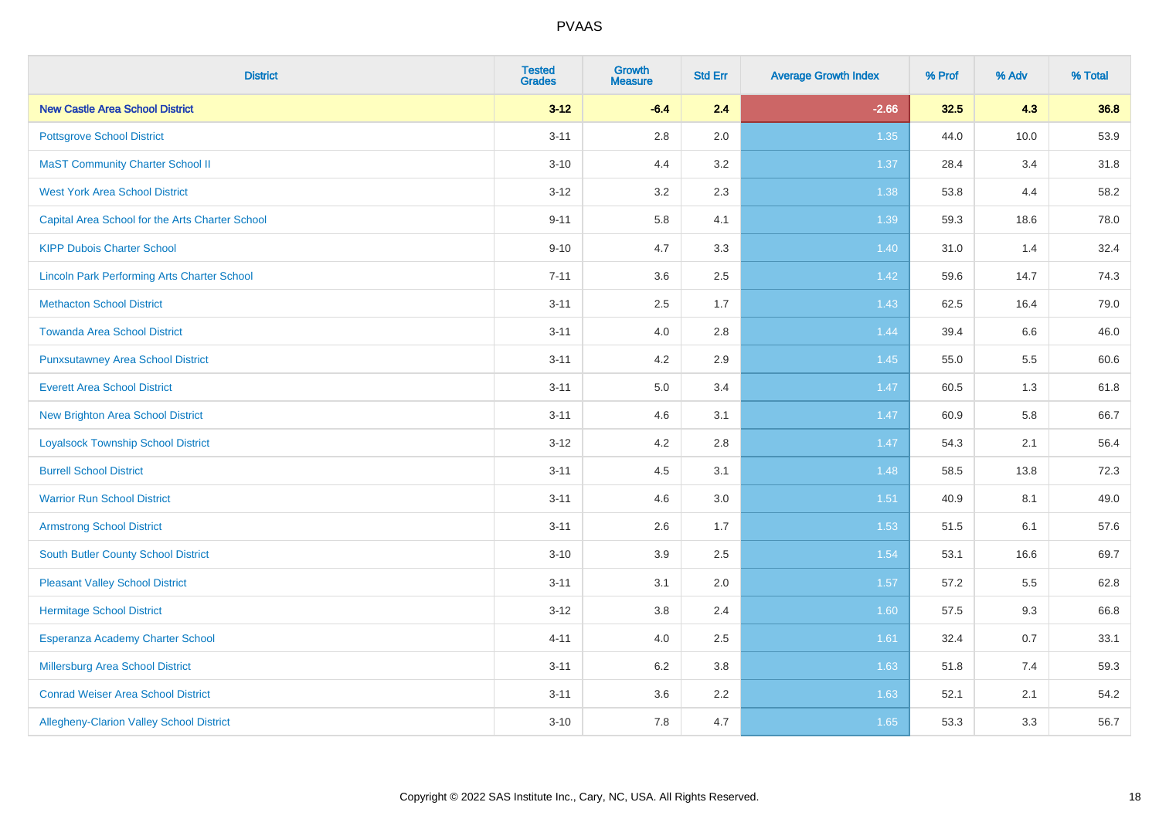| <b>District</b>                                    | <b>Tested</b><br><b>Grades</b> | <b>Growth</b><br><b>Measure</b> | <b>Std Err</b> | <b>Average Growth Index</b> | % Prof | % Adv | % Total |
|----------------------------------------------------|--------------------------------|---------------------------------|----------------|-----------------------------|--------|-------|---------|
| <b>New Castle Area School District</b>             | $3 - 12$                       | $-6.4$                          | 2.4            | $-2.66$                     | 32.5   | 4.3   | 36.8    |
| <b>Pottsgrove School District</b>                  | $3 - 11$                       | 2.8                             | 2.0            | 1.35                        | 44.0   | 10.0  | 53.9    |
| <b>MaST Community Charter School II</b>            | $3 - 10$                       | 4.4                             | 3.2            | 1.37                        | 28.4   | 3.4   | 31.8    |
| <b>West York Area School District</b>              | $3 - 12$                       | 3.2                             | 2.3            | 1.38                        | 53.8   | 4.4   | 58.2    |
| Capital Area School for the Arts Charter School    | $9 - 11$                       | 5.8                             | 4.1            | 1.39                        | 59.3   | 18.6  | 78.0    |
| <b>KIPP Dubois Charter School</b>                  | $9 - 10$                       | 4.7                             | 3.3            | 1.40                        | 31.0   | 1.4   | 32.4    |
| <b>Lincoln Park Performing Arts Charter School</b> | $7 - 11$                       | 3.6                             | 2.5            | 1.42                        | 59.6   | 14.7  | 74.3    |
| <b>Methacton School District</b>                   | $3 - 11$                       | 2.5                             | 1.7            | 1.43                        | 62.5   | 16.4  | 79.0    |
| <b>Towanda Area School District</b>                | $3 - 11$                       | 4.0                             | 2.8            | 1.44                        | 39.4   | 6.6   | 46.0    |
| <b>Punxsutawney Area School District</b>           | $3 - 11$                       | 4.2                             | $2.9\,$        | 1.45                        | 55.0   | 5.5   | 60.6    |
| <b>Everett Area School District</b>                | $3 - 11$                       | 5.0                             | 3.4            | 1.47                        | 60.5   | 1.3   | 61.8    |
| <b>New Brighton Area School District</b>           | $3 - 11$                       | 4.6                             | 3.1            | 1.47                        | 60.9   | 5.8   | 66.7    |
| <b>Loyalsock Township School District</b>          | $3 - 12$                       | 4.2                             | 2.8            | 1.47                        | 54.3   | 2.1   | 56.4    |
| <b>Burrell School District</b>                     | $3 - 11$                       | 4.5                             | 3.1            | 1.48                        | 58.5   | 13.8  | 72.3    |
| <b>Warrior Run School District</b>                 | $3 - 11$                       | 4.6                             | 3.0            | $1.51$                      | 40.9   | 8.1   | 49.0    |
| <b>Armstrong School District</b>                   | $3 - 11$                       | 2.6                             | 1.7            | 1.53                        | 51.5   | 6.1   | 57.6    |
| <b>South Butler County School District</b>         | $3 - 10$                       | 3.9                             | 2.5            | 1.54                        | 53.1   | 16.6  | 69.7    |
| <b>Pleasant Valley School District</b>             | $3 - 11$                       | 3.1                             | 2.0            | 1.57                        | 57.2   | 5.5   | 62.8    |
| <b>Hermitage School District</b>                   | $3 - 12$                       | 3.8                             | 2.4            | 1.60                        | 57.5   | 9.3   | 66.8    |
| Esperanza Academy Charter School                   | $4 - 11$                       | 4.0                             | 2.5            | 1.61                        | 32.4   | 0.7   | 33.1    |
| <b>Millersburg Area School District</b>            | $3 - 11$                       | 6.2                             | 3.8            | 1.63                        | 51.8   | 7.4   | 59.3    |
| <b>Conrad Weiser Area School District</b>          | $3 - 11$                       | 3.6                             | 2.2            | 1.63                        | 52.1   | 2.1   | 54.2    |
| Allegheny-Clarion Valley School District           | $3 - 10$                       | 7.8                             | 4.7            | 1.65                        | 53.3   | 3.3   | 56.7    |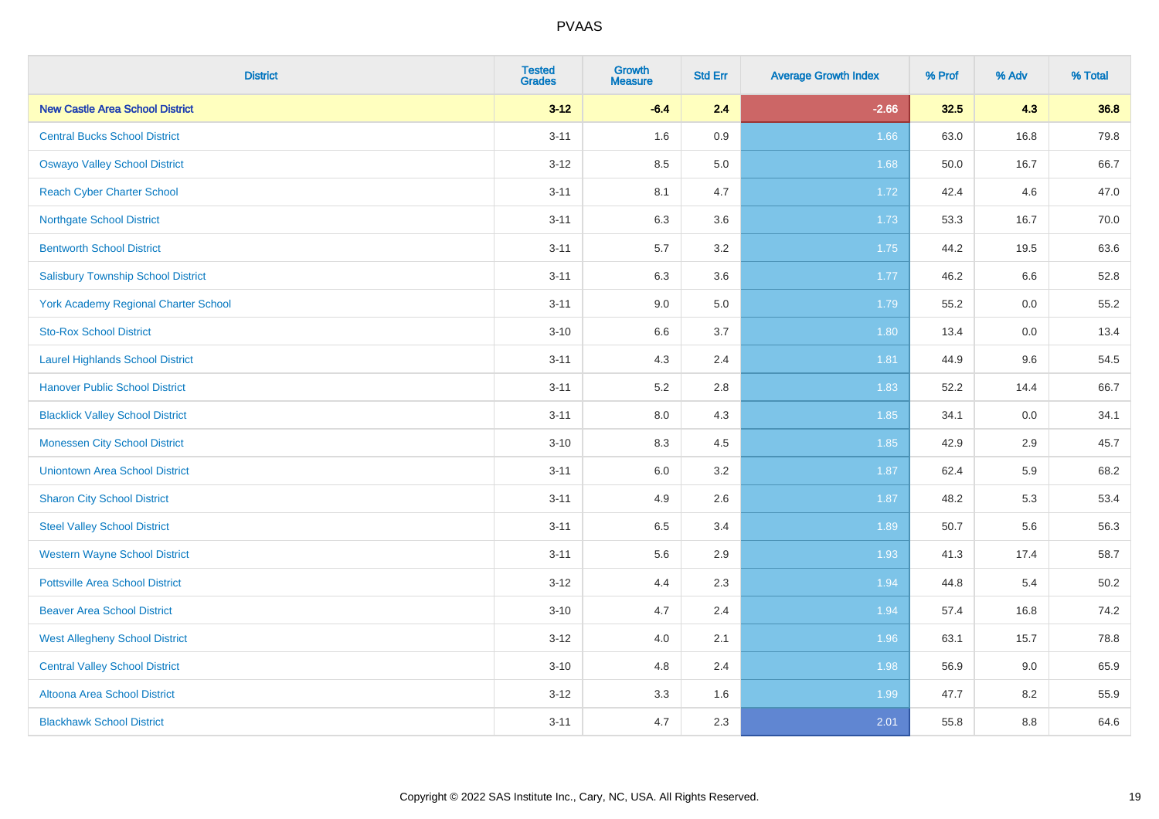| <b>District</b>                             | <b>Tested</b><br><b>Grades</b> | <b>Growth</b><br><b>Measure</b> | <b>Std Err</b> | <b>Average Growth Index</b> | % Prof | % Adv | % Total |
|---------------------------------------------|--------------------------------|---------------------------------|----------------|-----------------------------|--------|-------|---------|
| <b>New Castle Area School District</b>      | $3 - 12$                       | $-6.4$                          | 2.4            | $-2.66$                     | 32.5   | 4.3   | 36.8    |
| <b>Central Bucks School District</b>        | $3 - 11$                       | 1.6                             | 0.9            | 1.66                        | 63.0   | 16.8  | 79.8    |
| <b>Oswayo Valley School District</b>        | $3 - 12$                       | 8.5                             | 5.0            | 1.68                        | 50.0   | 16.7  | 66.7    |
| <b>Reach Cyber Charter School</b>           | $3 - 11$                       | 8.1                             | 4.7            | 1.72                        | 42.4   | 4.6   | 47.0    |
| <b>Northgate School District</b>            | $3 - 11$                       | 6.3                             | 3.6            | 1.73                        | 53.3   | 16.7  | 70.0    |
| <b>Bentworth School District</b>            | $3 - 11$                       | 5.7                             | 3.2            | 1.75                        | 44.2   | 19.5  | 63.6    |
| <b>Salisbury Township School District</b>   | $3 - 11$                       | 6.3                             | 3.6            | 1.77                        | 46.2   | 6.6   | 52.8    |
| <b>York Academy Regional Charter School</b> | $3 - 11$                       | 9.0                             | 5.0            | 1.79                        | 55.2   | 0.0   | 55.2    |
| <b>Sto-Rox School District</b>              | $3 - 10$                       | 6.6                             | 3.7            | 1.80                        | 13.4   | 0.0   | 13.4    |
| <b>Laurel Highlands School District</b>     | $3 - 11$                       | 4.3                             | 2.4            | 1.81                        | 44.9   | 9.6   | 54.5    |
| <b>Hanover Public School District</b>       | $3 - 11$                       | 5.2                             | 2.8            | 1.83                        | 52.2   | 14.4  | 66.7    |
| <b>Blacklick Valley School District</b>     | $3 - 11$                       | 8.0                             | 4.3            | 1.85                        | 34.1   | 0.0   | 34.1    |
| <b>Monessen City School District</b>        | $3 - 10$                       | 8.3                             | 4.5            | 1.85                        | 42.9   | 2.9   | 45.7    |
| <b>Uniontown Area School District</b>       | $3 - 11$                       | 6.0                             | 3.2            | 1.87                        | 62.4   | 5.9   | 68.2    |
| <b>Sharon City School District</b>          | $3 - 11$                       | 4.9                             | 2.6            | 1.87                        | 48.2   | 5.3   | 53.4    |
| <b>Steel Valley School District</b>         | $3 - 11$                       | 6.5                             | 3.4            | 1.89                        | 50.7   | 5.6   | 56.3    |
| <b>Western Wayne School District</b>        | $3 - 11$                       | 5.6                             | 2.9            | 1.93                        | 41.3   | 17.4  | 58.7    |
| <b>Pottsville Area School District</b>      | $3-12$                         | 4.4                             | 2.3            | 1.94                        | 44.8   | 5.4   | 50.2    |
| <b>Beaver Area School District</b>          | $3 - 10$                       | 4.7                             | 2.4            | 1.94                        | 57.4   | 16.8  | 74.2    |
| <b>West Allegheny School District</b>       | $3-12$                         | 4.0                             | 2.1            | 1.96                        | 63.1   | 15.7  | 78.8    |
| <b>Central Valley School District</b>       | $3 - 10$                       | 4.8                             | 2.4            | 1.98                        | 56.9   | 9.0   | 65.9    |
| Altoona Area School District                | $3 - 12$                       | 3.3                             | 1.6            | 1.99                        | 47.7   | 8.2   | 55.9    |
| <b>Blackhawk School District</b>            | $3 - 11$                       | 4.7                             | 2.3            | 2.01                        | 55.8   | 8.8   | 64.6    |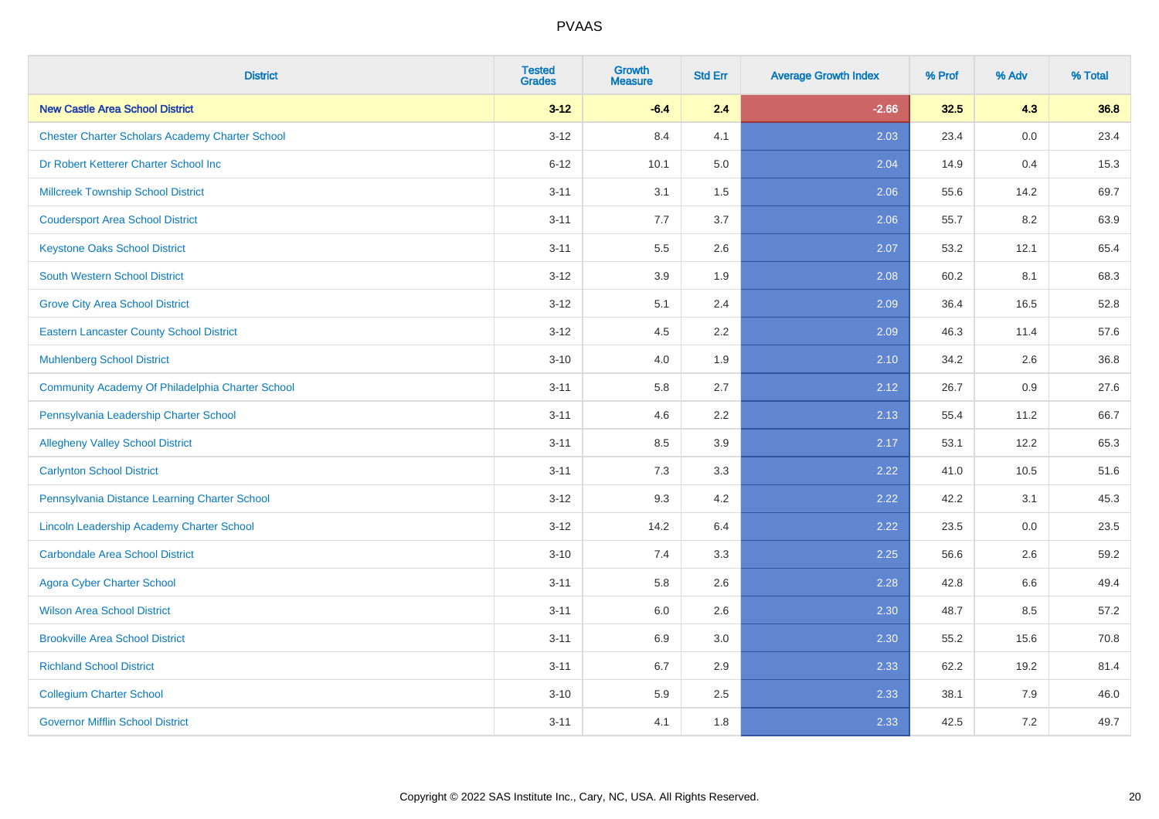| <b>District</b>                                        | <b>Tested</b><br><b>Grades</b> | <b>Growth</b><br><b>Measure</b> | <b>Std Err</b> | <b>Average Growth Index</b> | % Prof | % Adv   | % Total |
|--------------------------------------------------------|--------------------------------|---------------------------------|----------------|-----------------------------|--------|---------|---------|
| <b>New Castle Area School District</b>                 | $3 - 12$                       | $-6.4$                          | 2.4            | $-2.66$                     | 32.5   | 4.3     | 36.8    |
| <b>Chester Charter Scholars Academy Charter School</b> | $3 - 12$                       | 8.4                             | 4.1            | 2.03                        | 23.4   | 0.0     | 23.4    |
| Dr Robert Ketterer Charter School Inc                  | $6 - 12$                       | 10.1                            | 5.0            | 2.04                        | 14.9   | 0.4     | 15.3    |
| <b>Millcreek Township School District</b>              | $3 - 11$                       | 3.1                             | $1.5$          | 2.06                        | 55.6   | 14.2    | 69.7    |
| <b>Coudersport Area School District</b>                | $3 - 11$                       | 7.7                             | 3.7            | 2.06                        | 55.7   | 8.2     | 63.9    |
| <b>Keystone Oaks School District</b>                   | $3 - 11$                       | $5.5\,$                         | 2.6            | 2.07                        | 53.2   | 12.1    | 65.4    |
| South Western School District                          | $3 - 12$                       | 3.9                             | 1.9            | 2.08                        | 60.2   | 8.1     | 68.3    |
| <b>Grove City Area School District</b>                 | $3 - 12$                       | 5.1                             | 2.4            | 2.09                        | 36.4   | 16.5    | 52.8    |
| <b>Eastern Lancaster County School District</b>        | $3 - 12$                       | 4.5                             | 2.2            | 2.09                        | 46.3   | 11.4    | 57.6    |
| <b>Muhlenberg School District</b>                      | $3 - 10$                       | 4.0                             | 1.9            | 2.10                        | 34.2   | $2.6\,$ | 36.8    |
| Community Academy Of Philadelphia Charter School       | $3 - 11$                       | 5.8                             | 2.7            | 2.12                        | 26.7   | 0.9     | 27.6    |
| Pennsylvania Leadership Charter School                 | $3 - 11$                       | 4.6                             | 2.2            | 2.13                        | 55.4   | 11.2    | 66.7    |
| <b>Allegheny Valley School District</b>                | $3 - 11$                       | 8.5                             | 3.9            | 2.17                        | 53.1   | 12.2    | 65.3    |
| <b>Carlynton School District</b>                       | $3 - 11$                       | 7.3                             | 3.3            | 2.22                        | 41.0   | 10.5    | 51.6    |
| Pennsylvania Distance Learning Charter School          | $3 - 12$                       | 9.3                             | 4.2            | 2.22                        | 42.2   | 3.1     | 45.3    |
| Lincoln Leadership Academy Charter School              | $3 - 12$                       | 14.2                            | 6.4            | 2.22                        | 23.5   | 0.0     | 23.5    |
| <b>Carbondale Area School District</b>                 | $3 - 10$                       | 7.4                             | 3.3            | 2.25                        | 56.6   | 2.6     | 59.2    |
| <b>Agora Cyber Charter School</b>                      | $3 - 11$                       | 5.8                             | 2.6            | 2.28                        | 42.8   | 6.6     | 49.4    |
| <b>Wilson Area School District</b>                     | $3 - 11$                       | 6.0                             | 2.6            | 2.30                        | 48.7   | 8.5     | 57.2    |
| <b>Brookville Area School District</b>                 | $3 - 11$                       | 6.9                             | 3.0            | 2.30                        | 55.2   | 15.6    | 70.8    |
| <b>Richland School District</b>                        | $3 - 11$                       | 6.7                             | 2.9            | 2.33                        | 62.2   | 19.2    | 81.4    |
| <b>Collegium Charter School</b>                        | $3 - 10$                       | 5.9                             | 2.5            | 2.33                        | 38.1   | 7.9     | 46.0    |
| <b>Governor Mifflin School District</b>                | $3 - 11$                       | 4.1                             | 1.8            | 2.33                        | 42.5   | 7.2     | 49.7    |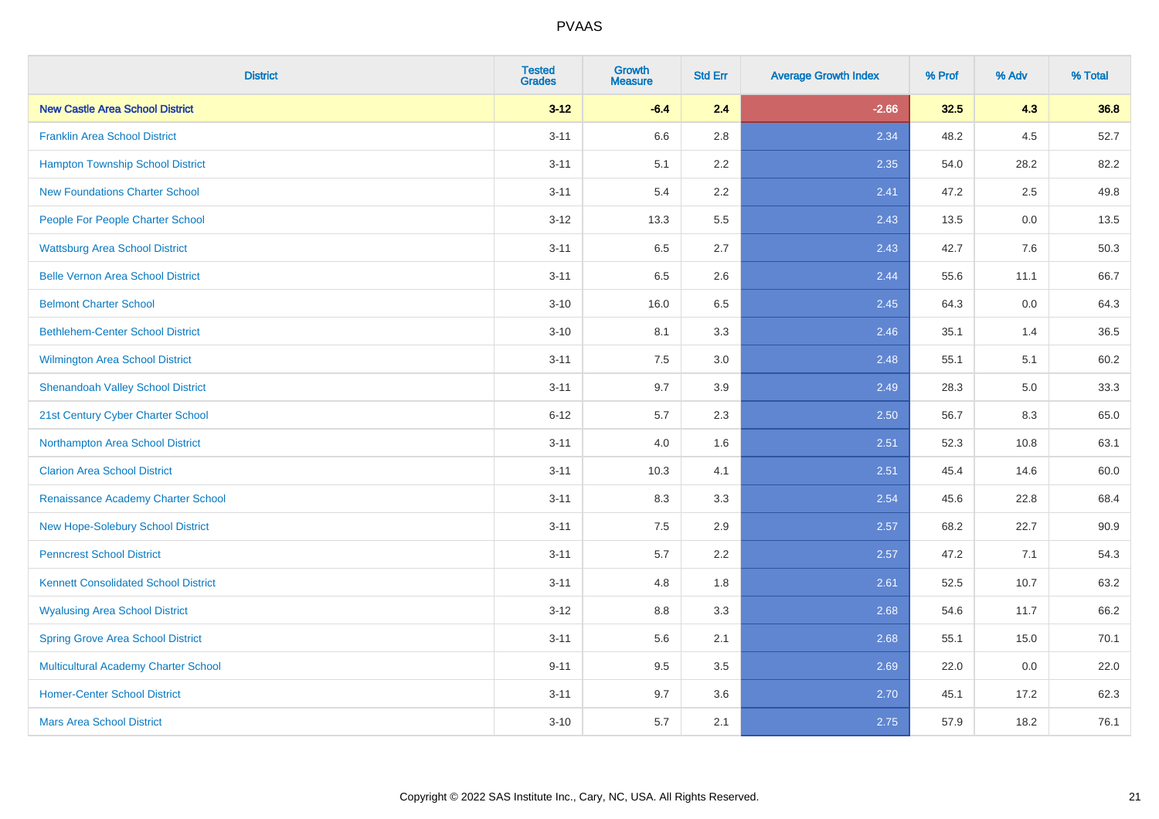| <b>District</b>                             | <b>Tested</b><br><b>Grades</b> | <b>Growth</b><br><b>Measure</b> | <b>Std Err</b> | <b>Average Growth Index</b> | % Prof | % Adv | % Total |
|---------------------------------------------|--------------------------------|---------------------------------|----------------|-----------------------------|--------|-------|---------|
| <b>New Castle Area School District</b>      | $3 - 12$                       | $-6.4$                          | 2.4            | $-2.66$                     | 32.5   | 4.3   | 36.8    |
| <b>Franklin Area School District</b>        | $3 - 11$                       | 6.6                             | 2.8            | 2.34                        | 48.2   | 4.5   | 52.7    |
| <b>Hampton Township School District</b>     | $3 - 11$                       | 5.1                             | 2.2            | 2.35                        | 54.0   | 28.2  | 82.2    |
| <b>New Foundations Charter School</b>       | $3 - 11$                       | 5.4                             | 2.2            | 2.41                        | 47.2   | 2.5   | 49.8    |
| People For People Charter School            | $3 - 12$                       | 13.3                            | 5.5            | 2.43                        | 13.5   | 0.0   | 13.5    |
| <b>Wattsburg Area School District</b>       | $3 - 11$                       | 6.5                             | 2.7            | 2.43                        | 42.7   | 7.6   | 50.3    |
| <b>Belle Vernon Area School District</b>    | $3 - 11$                       | 6.5                             | 2.6            | 2.44                        | 55.6   | 11.1  | 66.7    |
| <b>Belmont Charter School</b>               | $3 - 10$                       | 16.0                            | 6.5            | 2.45                        | 64.3   | 0.0   | 64.3    |
| <b>Bethlehem-Center School District</b>     | $3 - 10$                       | 8.1                             | 3.3            | 2.46                        | 35.1   | 1.4   | 36.5    |
| <b>Wilmington Area School District</b>      | $3 - 11$                       | 7.5                             | 3.0            | 2.48                        | 55.1   | 5.1   | 60.2    |
| <b>Shenandoah Valley School District</b>    | $3 - 11$                       | 9.7                             | 3.9            | 2.49                        | 28.3   | 5.0   | 33.3    |
| 21st Century Cyber Charter School           | $6 - 12$                       | 5.7                             | 2.3            | 2.50                        | 56.7   | 8.3   | 65.0    |
| Northampton Area School District            | $3 - 11$                       | 4.0                             | 1.6            | 2.51                        | 52.3   | 10.8  | 63.1    |
| <b>Clarion Area School District</b>         | $3 - 11$                       | 10.3                            | 4.1            | 2.51                        | 45.4   | 14.6  | 60.0    |
| Renaissance Academy Charter School          | $3 - 11$                       | 8.3                             | 3.3            | 2.54                        | 45.6   | 22.8  | 68.4    |
| New Hope-Solebury School District           | $3 - 11$                       | $7.5\,$                         | 2.9            | 2.57                        | 68.2   | 22.7  | 90.9    |
| <b>Penncrest School District</b>            | $3 - 11$                       | 5.7                             | 2.2            | 2.57                        | 47.2   | 7.1   | 54.3    |
| <b>Kennett Consolidated School District</b> | $3 - 11$                       | 4.8                             | 1.8            | 2.61                        | 52.5   | 10.7  | 63.2    |
| <b>Wyalusing Area School District</b>       | $3 - 12$                       | $8.8\,$                         | 3.3            | 2.68                        | 54.6   | 11.7  | 66.2    |
| <b>Spring Grove Area School District</b>    | $3 - 11$                       | 5.6                             | 2.1            | 2.68                        | 55.1   | 15.0  | 70.1    |
| <b>Multicultural Academy Charter School</b> | $9 - 11$                       | 9.5                             | 3.5            | 2.69                        | 22.0   | 0.0   | 22.0    |
| <b>Homer-Center School District</b>         | $3 - 11$                       | 9.7                             | 3.6            | 2.70                        | 45.1   | 17.2  | 62.3    |
| <b>Mars Area School District</b>            | $3 - 10$                       | 5.7                             | 2.1            | 2.75                        | 57.9   | 18.2  | 76.1    |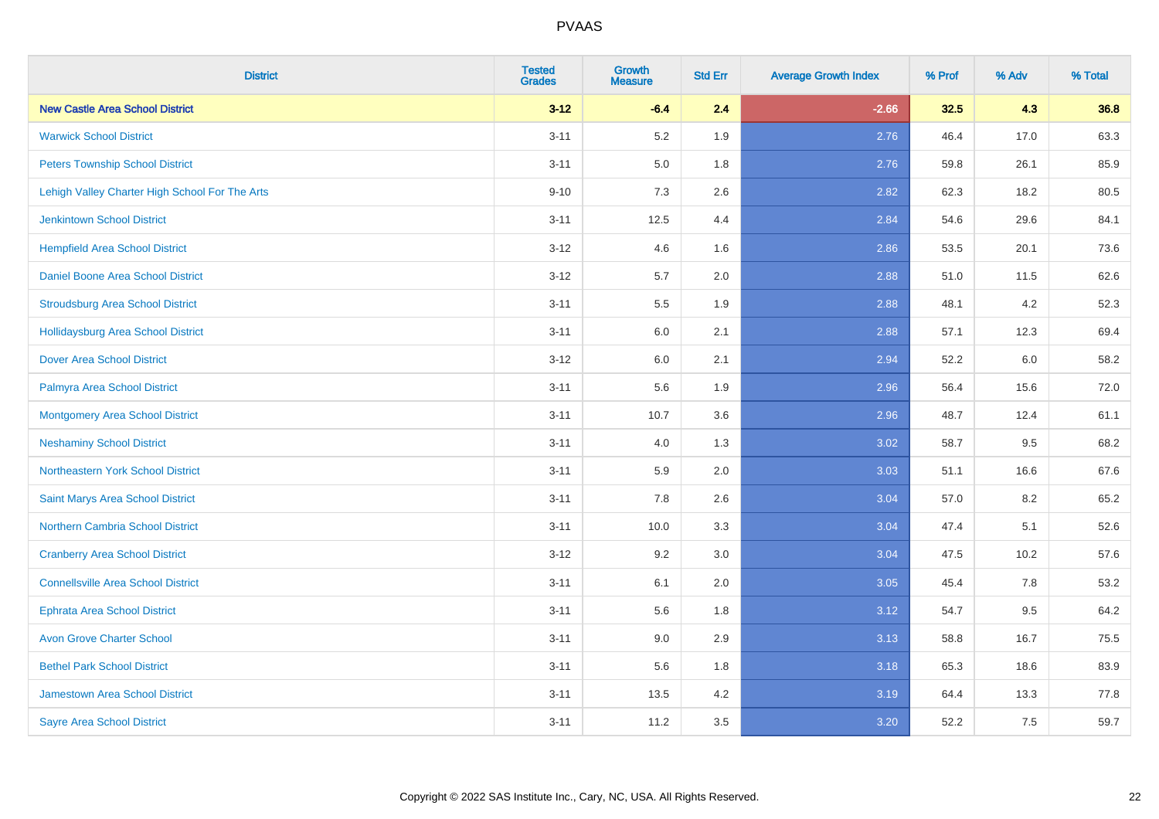| <b>District</b>                                | <b>Tested</b><br><b>Grades</b> | Growth<br><b>Measure</b> | <b>Std Err</b> | <b>Average Growth Index</b> | % Prof | % Adv | % Total |
|------------------------------------------------|--------------------------------|--------------------------|----------------|-----------------------------|--------|-------|---------|
| <b>New Castle Area School District</b>         | $3 - 12$                       | $-6.4$                   | 2.4            | $-2.66$                     | 32.5   | 4.3   | 36.8    |
| <b>Warwick School District</b>                 | $3 - 11$                       | 5.2                      | 1.9            | 2.76                        | 46.4   | 17.0  | 63.3    |
| <b>Peters Township School District</b>         | $3 - 11$                       | 5.0                      | 1.8            | 2.76                        | 59.8   | 26.1  | 85.9    |
| Lehigh Valley Charter High School For The Arts | $9 - 10$                       | 7.3                      | 2.6            | 2.82                        | 62.3   | 18.2  | 80.5    |
| <b>Jenkintown School District</b>              | $3 - 11$                       | 12.5                     | 4.4            | 2.84                        | 54.6   | 29.6  | 84.1    |
| <b>Hempfield Area School District</b>          | $3 - 12$                       | 4.6                      | 1.6            | 2.86                        | 53.5   | 20.1  | 73.6    |
| Daniel Boone Area School District              | $3 - 12$                       | 5.7                      | 2.0            | 2.88                        | 51.0   | 11.5  | 62.6    |
| <b>Stroudsburg Area School District</b>        | $3 - 11$                       | 5.5                      | 1.9            | 2.88                        | 48.1   | 4.2   | 52.3    |
| <b>Hollidaysburg Area School District</b>      | $3 - 11$                       | 6.0                      | 2.1            | 2.88                        | 57.1   | 12.3  | 69.4    |
| <b>Dover Area School District</b>              | $3 - 12$                       | 6.0                      | 2.1            | 2.94                        | 52.2   | 6.0   | 58.2    |
| Palmyra Area School District                   | $3 - 11$                       | 5.6                      | 1.9            | 2.96                        | 56.4   | 15.6  | 72.0    |
| <b>Montgomery Area School District</b>         | $3 - 11$                       | 10.7                     | 3.6            | 2.96                        | 48.7   | 12.4  | 61.1    |
| <b>Neshaminy School District</b>               | $3 - 11$                       | 4.0                      | 1.3            | 3.02                        | 58.7   | 9.5   | 68.2    |
| Northeastern York School District              | $3 - 11$                       | 5.9                      | 2.0            | 3.03                        | 51.1   | 16.6  | 67.6    |
| Saint Marys Area School District               | $3 - 11$                       | 7.8                      | 2.6            | 3.04                        | 57.0   | 8.2   | 65.2    |
| Northern Cambria School District               | $3 - 11$                       | 10.0                     | 3.3            | 3.04                        | 47.4   | 5.1   | 52.6    |
| <b>Cranberry Area School District</b>          | $3 - 12$                       | 9.2                      | 3.0            | 3.04                        | 47.5   | 10.2  | 57.6    |
| <b>Connellsville Area School District</b>      | $3 - 11$                       | 6.1                      | 2.0            | 3.05                        | 45.4   | 7.8   | 53.2    |
| <b>Ephrata Area School District</b>            | $3 - 11$                       | 5.6                      | 1.8            | 3.12                        | 54.7   | 9.5   | 64.2    |
| <b>Avon Grove Charter School</b>               | $3 - 11$                       | 9.0                      | 2.9            | 3.13                        | 58.8   | 16.7  | 75.5    |
| <b>Bethel Park School District</b>             | $3 - 11$                       | 5.6                      | 1.8            | 3.18                        | 65.3   | 18.6  | 83.9    |
| <b>Jamestown Area School District</b>          | $3 - 11$                       | 13.5                     | 4.2            | 3.19                        | 64.4   | 13.3  | 77.8    |
| <b>Sayre Area School District</b>              | $3 - 11$                       | 11.2                     | 3.5            | 3.20                        | 52.2   | 7.5   | 59.7    |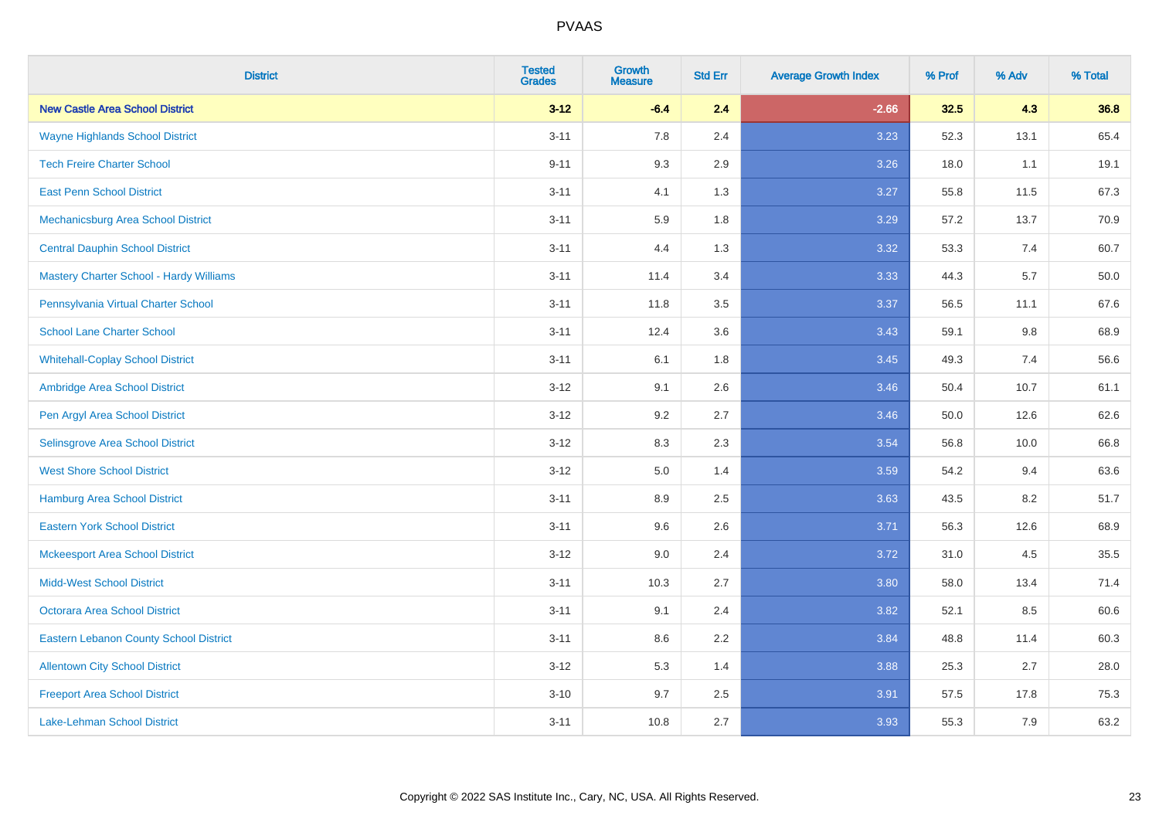| <b>District</b>                                | <b>Tested</b><br><b>Grades</b> | <b>Growth</b><br><b>Measure</b> | <b>Std Err</b> | <b>Average Growth Index</b> | % Prof | % Adv | % Total |
|------------------------------------------------|--------------------------------|---------------------------------|----------------|-----------------------------|--------|-------|---------|
| <b>New Castle Area School District</b>         | $3 - 12$                       | $-6.4$                          | 2.4            | $-2.66$                     | 32.5   | 4.3   | 36.8    |
| <b>Wayne Highlands School District</b>         | $3 - 11$                       | 7.8                             | 2.4            | 3.23                        | 52.3   | 13.1  | 65.4    |
| <b>Tech Freire Charter School</b>              | $9 - 11$                       | 9.3                             | 2.9            | 3.26                        | 18.0   | 1.1   | 19.1    |
| <b>East Penn School District</b>               | $3 - 11$                       | 4.1                             | 1.3            | 3.27                        | 55.8   | 11.5  | 67.3    |
| Mechanicsburg Area School District             | $3 - 11$                       | 5.9                             | 1.8            | 3.29                        | 57.2   | 13.7  | 70.9    |
| <b>Central Dauphin School District</b>         | $3 - 11$                       | 4.4                             | 1.3            | 3.32                        | 53.3   | 7.4   | 60.7    |
| <b>Mastery Charter School - Hardy Williams</b> | $3 - 11$                       | 11.4                            | 3.4            | 3.33                        | 44.3   | 5.7   | 50.0    |
| Pennsylvania Virtual Charter School            | $3 - 11$                       | 11.8                            | 3.5            | 3.37                        | 56.5   | 11.1  | 67.6    |
| <b>School Lane Charter School</b>              | $3 - 11$                       | 12.4                            | 3.6            | 3.43                        | 59.1   | 9.8   | 68.9    |
| <b>Whitehall-Coplay School District</b>        | $3 - 11$                       | 6.1                             | 1.8            | 3.45                        | 49.3   | 7.4   | 56.6    |
| Ambridge Area School District                  | $3 - 12$                       | 9.1                             | 2.6            | 3.46                        | 50.4   | 10.7  | 61.1    |
| Pen Argyl Area School District                 | $3 - 12$                       | 9.2                             | 2.7            | 3.46                        | 50.0   | 12.6  | 62.6    |
| Selinsgrove Area School District               | $3 - 12$                       | 8.3                             | 2.3            | 3.54                        | 56.8   | 10.0  | 66.8    |
| <b>West Shore School District</b>              | $3 - 12$                       | 5.0                             | 1.4            | 3.59                        | 54.2   | 9.4   | 63.6    |
| <b>Hamburg Area School District</b>            | $3 - 11$                       | 8.9                             | 2.5            | 3.63                        | 43.5   | 8.2   | 51.7    |
| <b>Eastern York School District</b>            | $3 - 11$                       | 9.6                             | 2.6            | 3.71                        | 56.3   | 12.6  | 68.9    |
| <b>Mckeesport Area School District</b>         | $3 - 12$                       | 9.0                             | 2.4            | 3.72                        | 31.0   | 4.5   | 35.5    |
| <b>Midd-West School District</b>               | $3 - 11$                       | 10.3                            | 2.7            | 3.80                        | 58.0   | 13.4  | 71.4    |
| <b>Octorara Area School District</b>           | $3 - 11$                       | 9.1                             | 2.4            | 3.82                        | 52.1   | 8.5   | 60.6    |
| <b>Eastern Lebanon County School District</b>  | $3 - 11$                       | 8.6                             | 2.2            | 3.84                        | 48.8   | 11.4  | 60.3    |
| <b>Allentown City School District</b>          | $3 - 12$                       | 5.3                             | 1.4            | 3.88                        | 25.3   | 2.7   | 28.0    |
| <b>Freeport Area School District</b>           | $3 - 10$                       | 9.7                             | 2.5            | 3.91                        | 57.5   | 17.8  | 75.3    |
| <b>Lake-Lehman School District</b>             | $3 - 11$                       | 10.8                            | 2.7            | 3.93                        | 55.3   | 7.9   | 63.2    |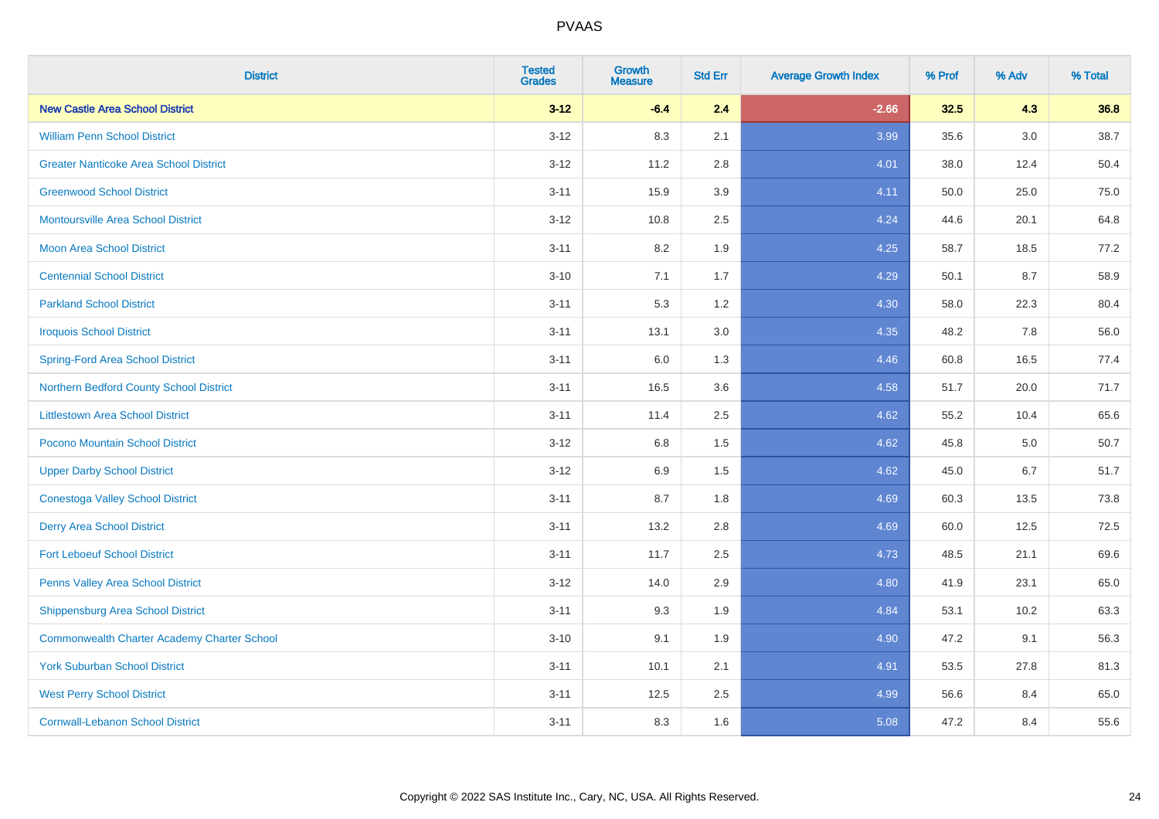| <b>District</b>                                    | <b>Tested</b><br><b>Grades</b> | <b>Growth</b><br><b>Measure</b> | <b>Std Err</b> | <b>Average Growth Index</b> | % Prof | % Adv   | % Total |
|----------------------------------------------------|--------------------------------|---------------------------------|----------------|-----------------------------|--------|---------|---------|
| <b>New Castle Area School District</b>             | $3 - 12$                       | $-6.4$                          | 2.4            | $-2.66$                     | 32.5   | 4.3     | 36.8    |
| <b>William Penn School District</b>                | $3 - 12$                       | 8.3                             | 2.1            | 3.99                        | 35.6   | $3.0\,$ | 38.7    |
| <b>Greater Nanticoke Area School District</b>      | $3 - 12$                       | 11.2                            | 2.8            | 4.01                        | 38.0   | 12.4    | 50.4    |
| <b>Greenwood School District</b>                   | $3 - 11$                       | 15.9                            | 3.9            | 4.11                        | 50.0   | 25.0    | 75.0    |
| <b>Montoursville Area School District</b>          | $3 - 12$                       | 10.8                            | 2.5            | 4.24                        | 44.6   | 20.1    | 64.8    |
| <b>Moon Area School District</b>                   | $3 - 11$                       | 8.2                             | 1.9            | 4.25                        | 58.7   | 18.5    | 77.2    |
| <b>Centennial School District</b>                  | $3 - 10$                       | 7.1                             | 1.7            | 4.29                        | 50.1   | 8.7     | 58.9    |
| <b>Parkland School District</b>                    | $3 - 11$                       | 5.3                             | 1.2            | 4.30                        | 58.0   | 22.3    | 80.4    |
| <b>Iroquois School District</b>                    | $3 - 11$                       | 13.1                            | 3.0            | 4.35                        | 48.2   | 7.8     | 56.0    |
| <b>Spring-Ford Area School District</b>            | $3 - 11$                       | 6.0                             | 1.3            | 4.46                        | 60.8   | 16.5    | 77.4    |
| Northern Bedford County School District            | $3 - 11$                       | 16.5                            | 3.6            | 4.58                        | 51.7   | 20.0    | 71.7    |
| <b>Littlestown Area School District</b>            | $3 - 11$                       | 11.4                            | 2.5            | 4.62                        | 55.2   | 10.4    | 65.6    |
| Pocono Mountain School District                    | $3 - 12$                       | $6.8\,$                         | 1.5            | 4.62                        | 45.8   | 5.0     | 50.7    |
| <b>Upper Darby School District</b>                 | $3 - 12$                       | 6.9                             | 1.5            | 4.62                        | 45.0   | 6.7     | 51.7    |
| <b>Conestoga Valley School District</b>            | $3 - 11$                       | 8.7                             | 1.8            | 4.69                        | 60.3   | 13.5    | 73.8    |
| <b>Derry Area School District</b>                  | $3 - 11$                       | 13.2                            | 2.8            | 4.69                        | 60.0   | 12.5    | 72.5    |
| <b>Fort Leboeuf School District</b>                | $3 - 11$                       | 11.7                            | 2.5            | 4.73                        | 48.5   | 21.1    | 69.6    |
| Penns Valley Area School District                  | $3 - 12$                       | 14.0                            | 2.9            | 4.80                        | 41.9   | 23.1    | 65.0    |
| Shippensburg Area School District                  | $3 - 11$                       | 9.3                             | 1.9            | 4.84                        | 53.1   | 10.2    | 63.3    |
| <b>Commonwealth Charter Academy Charter School</b> | $3 - 10$                       | 9.1                             | 1.9            | 4.90                        | 47.2   | 9.1     | 56.3    |
| <b>York Suburban School District</b>               | $3 - 11$                       | 10.1                            | 2.1            | 4.91                        | 53.5   | 27.8    | 81.3    |
| <b>West Perry School District</b>                  | $3 - 11$                       | 12.5                            | 2.5            | 4.99                        | 56.6   | 8.4     | 65.0    |
| <b>Cornwall-Lebanon School District</b>            | $3 - 11$                       | 8.3                             | 1.6            | 5.08                        | 47.2   | 8.4     | 55.6    |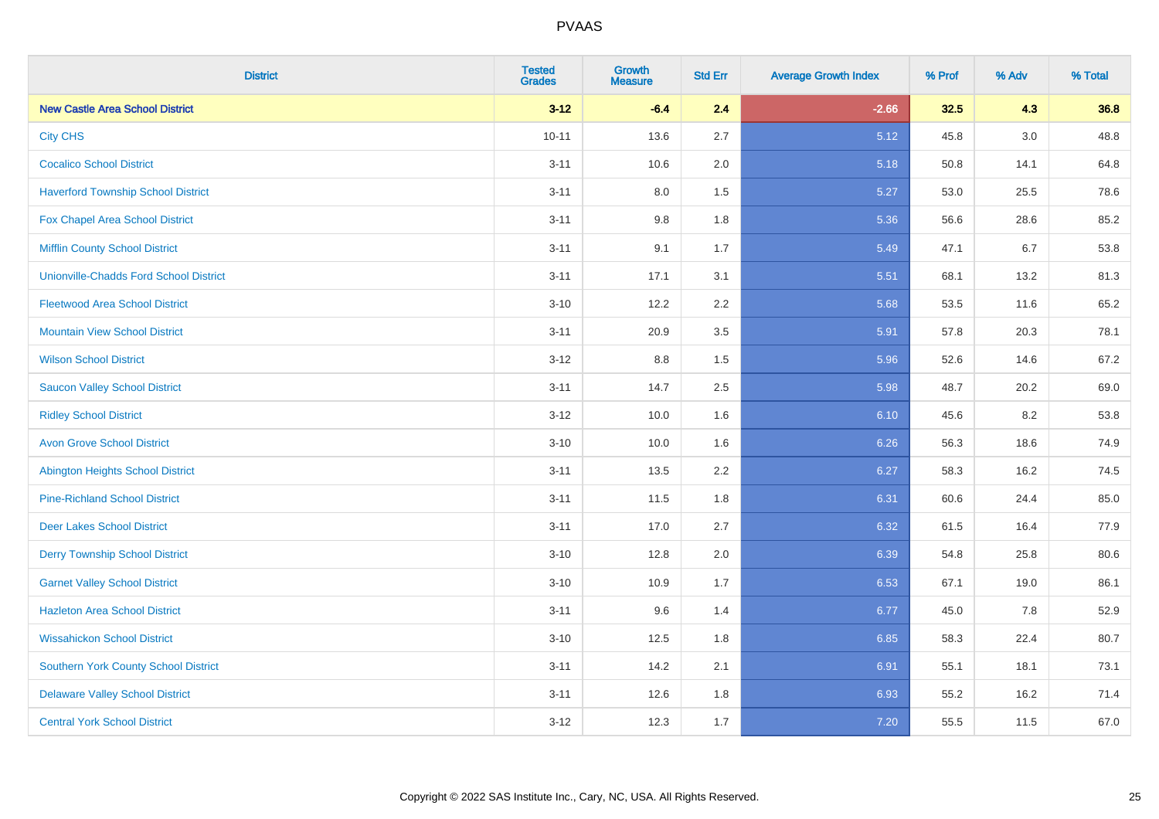| <b>District</b>                               | <b>Tested</b><br><b>Grades</b> | <b>Growth</b><br><b>Measure</b> | <b>Std Err</b> | <b>Average Growth Index</b> | % Prof | % Adv | % Total |
|-----------------------------------------------|--------------------------------|---------------------------------|----------------|-----------------------------|--------|-------|---------|
| <b>New Castle Area School District</b>        | $3 - 12$                       | $-6.4$                          | 2.4            | $-2.66$                     | 32.5   | 4.3   | 36.8    |
| <b>City CHS</b>                               | $10 - 11$                      | 13.6                            | 2.7            | 5.12                        | 45.8   | 3.0   | 48.8    |
| <b>Cocalico School District</b>               | $3 - 11$                       | 10.6                            | 2.0            | 5.18                        | 50.8   | 14.1  | 64.8    |
| <b>Haverford Township School District</b>     | $3 - 11$                       | $8.0\,$                         | 1.5            | 5.27                        | 53.0   | 25.5  | 78.6    |
| Fox Chapel Area School District               | $3 - 11$                       | 9.8                             | 1.8            | 5.36                        | 56.6   | 28.6  | 85.2    |
| <b>Mifflin County School District</b>         | $3 - 11$                       | 9.1                             | 1.7            | 5.49                        | 47.1   | 6.7   | 53.8    |
| <b>Unionville-Chadds Ford School District</b> | $3 - 11$                       | 17.1                            | 3.1            | 5.51                        | 68.1   | 13.2  | 81.3    |
| <b>Fleetwood Area School District</b>         | $3 - 10$                       | 12.2                            | 2.2            | 5.68                        | 53.5   | 11.6  | 65.2    |
| <b>Mountain View School District</b>          | $3 - 11$                       | 20.9                            | 3.5            | 5.91                        | 57.8   | 20.3  | 78.1    |
| <b>Wilson School District</b>                 | $3 - 12$                       | $8.8\,$                         | 1.5            | 5.96                        | 52.6   | 14.6  | 67.2    |
| <b>Saucon Valley School District</b>          | $3 - 11$                       | 14.7                            | 2.5            | 5.98                        | 48.7   | 20.2  | 69.0    |
| <b>Ridley School District</b>                 | $3 - 12$                       | 10.0                            | 1.6            | 6.10                        | 45.6   | 8.2   | 53.8    |
| <b>Avon Grove School District</b>             | $3 - 10$                       | 10.0                            | 1.6            | 6.26                        | 56.3   | 18.6  | 74.9    |
| <b>Abington Heights School District</b>       | $3 - 11$                       | 13.5                            | 2.2            | 6.27                        | 58.3   | 16.2  | 74.5    |
| <b>Pine-Richland School District</b>          | $3 - 11$                       | 11.5                            | 1.8            | 6.31                        | 60.6   | 24.4  | 85.0    |
| <b>Deer Lakes School District</b>             | $3 - 11$                       | 17.0                            | 2.7            | 6.32                        | 61.5   | 16.4  | 77.9    |
| <b>Derry Township School District</b>         | $3 - 10$                       | 12.8                            | 2.0            | 6.39                        | 54.8   | 25.8  | 80.6    |
| <b>Garnet Valley School District</b>          | $3 - 10$                       | 10.9                            | 1.7            | 6.53                        | 67.1   | 19.0  | 86.1    |
| <b>Hazleton Area School District</b>          | $3 - 11$                       | 9.6                             | 1.4            | 6.77                        | 45.0   | 7.8   | 52.9    |
| <b>Wissahickon School District</b>            | $3 - 10$                       | 12.5                            | 1.8            | 6.85                        | 58.3   | 22.4  | 80.7    |
| Southern York County School District          | $3 - 11$                       | 14.2                            | 2.1            | 6.91                        | 55.1   | 18.1  | 73.1    |
| <b>Delaware Valley School District</b>        | $3 - 11$                       | 12.6                            | 1.8            | 6.93                        | 55.2   | 16.2  | 71.4    |
| <b>Central York School District</b>           | $3 - 12$                       | 12.3                            | 1.7            | 7.20                        | 55.5   | 11.5  | 67.0    |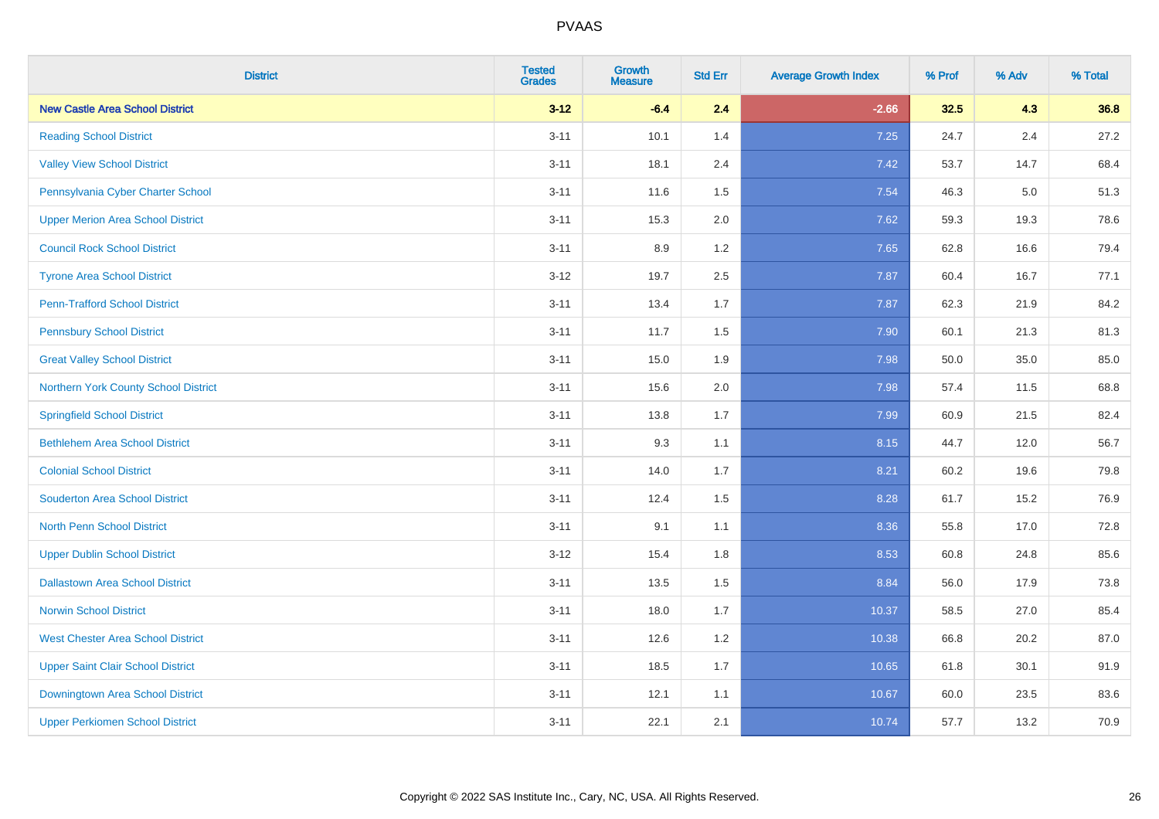| <b>District</b>                          | <b>Tested</b><br><b>Grades</b> | <b>Growth</b><br><b>Measure</b> | <b>Std Err</b> | <b>Average Growth Index</b> | % Prof | % Adv   | % Total |
|------------------------------------------|--------------------------------|---------------------------------|----------------|-----------------------------|--------|---------|---------|
| <b>New Castle Area School District</b>   | $3 - 12$                       | $-6.4$                          | 2.4            | $-2.66$                     | 32.5   | 4.3     | 36.8    |
| <b>Reading School District</b>           | $3 - 11$                       | 10.1                            | 1.4            | 7.25                        | 24.7   | $2.4\,$ | 27.2    |
| <b>Valley View School District</b>       | $3 - 11$                       | 18.1                            | 2.4            | 7.42                        | 53.7   | 14.7    | 68.4    |
| Pennsylvania Cyber Charter School        | $3 - 11$                       | 11.6                            | 1.5            | 7.54                        | 46.3   | 5.0     | 51.3    |
| <b>Upper Merion Area School District</b> | $3 - 11$                       | 15.3                            | 2.0            | 7.62                        | 59.3   | 19.3    | 78.6    |
| <b>Council Rock School District</b>      | $3 - 11$                       | 8.9                             | 1.2            | 7.65                        | 62.8   | 16.6    | 79.4    |
| <b>Tyrone Area School District</b>       | $3 - 12$                       | 19.7                            | 2.5            | 7.87                        | 60.4   | 16.7    | 77.1    |
| <b>Penn-Trafford School District</b>     | $3 - 11$                       | 13.4                            | 1.7            | 7.87                        | 62.3   | 21.9    | 84.2    |
| <b>Pennsbury School District</b>         | $3 - 11$                       | 11.7                            | 1.5            | 7.90                        | 60.1   | 21.3    | 81.3    |
| <b>Great Valley School District</b>      | $3 - 11$                       | 15.0                            | 1.9            | 7.98                        | 50.0   | 35.0    | 85.0    |
| Northern York County School District     | $3 - 11$                       | 15.6                            | 2.0            | 7.98                        | 57.4   | 11.5    | 68.8    |
| <b>Springfield School District</b>       | $3 - 11$                       | 13.8                            | 1.7            | 7.99                        | 60.9   | 21.5    | 82.4    |
| <b>Bethlehem Area School District</b>    | $3 - 11$                       | 9.3                             | 1.1            | 8.15                        | 44.7   | 12.0    | 56.7    |
| <b>Colonial School District</b>          | $3 - 11$                       | 14.0                            | 1.7            | 8.21                        | 60.2   | 19.6    | 79.8    |
| <b>Souderton Area School District</b>    | $3 - 11$                       | 12.4                            | 1.5            | 8.28                        | 61.7   | 15.2    | 76.9    |
| <b>North Penn School District</b>        | $3 - 11$                       | 9.1                             | 1.1            | 8.36                        | 55.8   | 17.0    | 72.8    |
| <b>Upper Dublin School District</b>      | $3 - 12$                       | 15.4                            | 1.8            | 8.53                        | 60.8   | 24.8    | 85.6    |
| <b>Dallastown Area School District</b>   | $3 - 11$                       | 13.5                            | 1.5            | 8.84                        | 56.0   | 17.9    | 73.8    |
| <b>Norwin School District</b>            | $3 - 11$                       | 18.0                            | 1.7            | 10.37                       | 58.5   | 27.0    | 85.4    |
| <b>West Chester Area School District</b> | $3 - 11$                       | 12.6                            | 1.2            | 10.38                       | 66.8   | 20.2    | 87.0    |
| <b>Upper Saint Clair School District</b> | $3 - 11$                       | 18.5                            | 1.7            | 10.65                       | 61.8   | 30.1    | 91.9    |
| Downingtown Area School District         | $3 - 11$                       | 12.1                            | 1.1            | 10.67                       | 60.0   | 23.5    | 83.6    |
| <b>Upper Perkiomen School District</b>   | $3 - 11$                       | 22.1                            | 2.1            | 10.74                       | 57.7   | 13.2    | 70.9    |